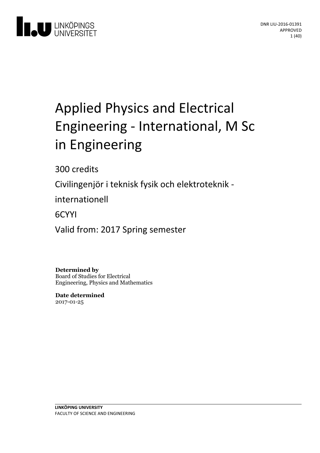

# Applied Physics and Electrical Engineering- International, M Sc in Engineering

300 credits

Civilingenjör i teknisk fysik och elektroteknik -

internationell

6CYYI

Valid from: 2017 Spring semester

**Determined by** Board of Studies for Electrical Engineering, Physics and Mathematics

**Date determined** 2017-01-25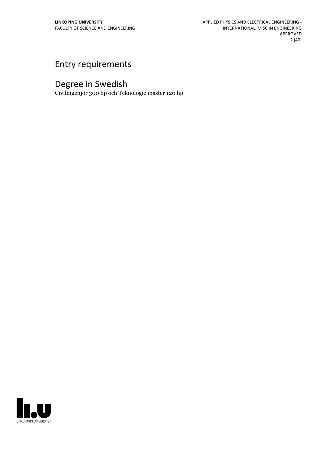# Entry requirements

# Degree in Swedish

Civilingenjör 300 hp och Teknologie master 120 hp

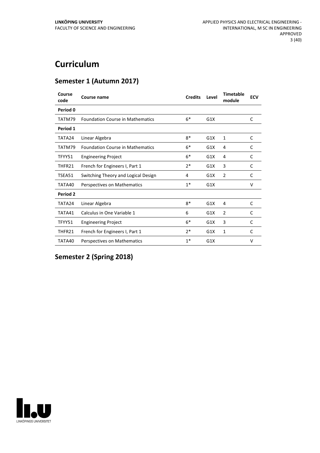# **Curriculum**

# **Semester 1 (Autumn 2017)**

| Course<br>code | Course name                             | <b>Credits</b> | Level | <b>Timetable</b><br>module | <b>ECV</b> |
|----------------|-----------------------------------------|----------------|-------|----------------------------|------------|
| Period 0       |                                         |                |       |                            |            |
| TATM79         | <b>Foundation Course in Mathematics</b> | $6*$           | G1X   |                            | C          |
| Period 1       |                                         |                |       |                            |            |
| TATA24         | Linear Algebra                          | $8*$           | G1X   | 1                          | C          |
| TATM79         | <b>Foundation Course in Mathematics</b> | $6*$           | G1X   | 4                          | C          |
| TFYY51         | <b>Engineering Project</b>              | $6*$           | G1X   | 4                          | C          |
| THFR21         | French for Engineers I, Part 1          | $2*$           | G1X   | 3                          | C          |
| TSEA51         | Switching Theory and Logical Design     | 4              | G1X   | $\overline{2}$             | C          |
| TATA40         | Perspectives on Mathematics             | $1*$           | G1X   |                            | $\vee$     |
| Period 2       |                                         |                |       |                            |            |
| TATA24         | Linear Algebra                          | $8*$           | G1X   | 4                          | C          |
| TATA41         | Calculus in One Variable 1              | 6              | G1X   | $\overline{2}$             | C          |
| TFYY51         | <b>Engineering Project</b>              | $6*$           | G1X   | 3                          | C          |
| THFR21         | French for Engineers I, Part 1          | $2*$           | G1X   | $\mathbf{1}$               | C          |
| TATA40         | Perspectives on Mathematics             | $1*$           | G1X   |                            | $\vee$     |

# **Semester 2 (Spring 2018)**

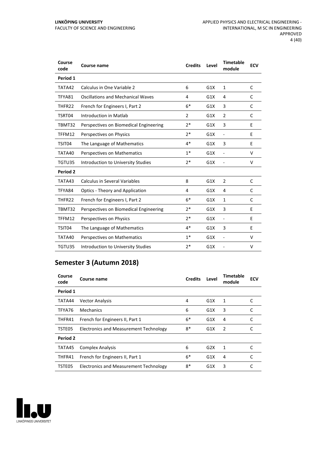| Course<br>code | <b>Course name</b>                       | <b>Credits</b> | Level | <b>Timetable</b><br>module   | <b>ECV</b> |
|----------------|------------------------------------------|----------------|-------|------------------------------|------------|
| Period 1       |                                          |                |       |                              |            |
| TATA42         | Calculus in One Variable 2               | 6              | G1X   | $\mathbf{1}$                 | C          |
| TFYA81         | <b>Oscillations and Mechanical Waves</b> | 4              | G1X   | 4                            | C          |
| THFR22         | French for Engineers I, Part 2           | $6*$           | G1X   | 3                            | C          |
| TSRT04         | Introduction in Matlab                   | 2              | G1X   | 2                            | C          |
| TBMT32         | Perspectives on Biomedical Engineering   | $2*$           | G1X   | 3                            | E          |
| TFFM12         | Perspectives on Physics                  | 2*             | G1X   | $\qquad \qquad \blacksquare$ | Е          |
| TSIT04         | The Language of Mathematics              | $4*$           | G1X   | 3                            | E          |
| TATA40         | Perspectives on Mathematics              | $1*$           | G1X   | ÷,                           | $\vee$     |
| TGTU35         | Introduction to University Studies       | 2*             | G1X   | $\qquad \qquad \blacksquare$ | V          |
| Period 2       |                                          |                |       |                              |            |
| TATA43         | <b>Calculus in Several Variables</b>     | 8              | G1X   | $\overline{2}$               | C          |
| TFYA84         | <b>Optics - Theory and Application</b>   | 4              | G1X   | 4                            | C          |
| THFR22         | French for Engineers I, Part 2           | $6*$           | G1X   | 1                            | C          |
| TBMT32         | Perspectives on Biomedical Engineering   | $2*$           | G1X   | 3                            | E          |
| TFFM12         | Perspectives on Physics                  | $2*$           | G1X   | $\overline{\phantom{a}}$     | E          |
| TSIT04         | The Language of Mathematics              | $4*$           | G1X   | 3                            | E          |
| TATA40         | Perspectives on Mathematics              | $1*$           | G1X   | L,                           | V          |
| TGTU35         | Introduction to University Studies       | $2*$           | G1X   |                              | v          |

# **Semester 3 (Autumn 2018)**

| Course<br>code | Course name                            | <b>Credits</b> | Level            | Timetable<br>module | <b>ECV</b> |
|----------------|----------------------------------------|----------------|------------------|---------------------|------------|
| Period 1       |                                        |                |                  |                     |            |
| TATA44         | <b>Vector Analysis</b>                 | 4              | G1X              | 1                   | C          |
| TFYA76         | Mechanics                              | 6              | G1X              | 3                   | C          |
| THFR41         | French for Engineers II, Part 1        | $6*$           | G1X              | 4                   | C          |
| TSTE05         | Electronics and Measurement Technology | 8*             | G1X              | 2                   |            |
| Period 2       |                                        |                |                  |                     |            |
| TATA45         | <b>Complex Analysis</b>                | 6              | G <sub>2</sub> X | 1                   | C          |
| THFR41         | French for Engineers II, Part 1        | $6*$           | G1X              | 4                   | C          |
| TSTE05         | Electronics and Measurement Technology | 8*             | G1X              | 3                   | C          |

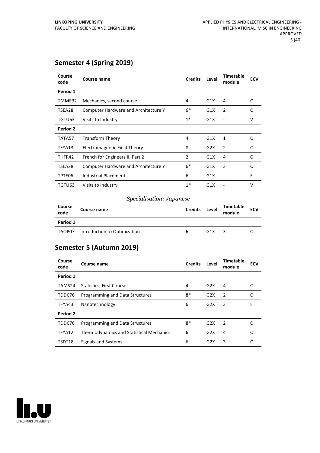# **Semester 4 (Spring 2019)**

| Course<br>code | Course name                                 | <b>Credits</b> | Level | <b>Timetable</b><br>module | <b>ECV</b> |
|----------------|---------------------------------------------|----------------|-------|----------------------------|------------|
| Period 1       |                                             |                |       |                            |            |
| TMME32         | Mechanics, second course                    | 4              | G1X   | 4                          | C          |
| TSEA28         | <b>Computer Hardware and Architecture Y</b> | $6*$           | G1X   | 2                          | C          |
| TGTU63         | Visits to Industry                          | $1^*$          | G1X   |                            | v          |
| Period 2       |                                             |                |       |                            |            |
| TATA57         | <b>Transform Theory</b>                     | 4              | G1X   | 1                          | C          |
| TFYA13         | Electromagnetic Field Theory                | 8              | G2X   | 2                          | C          |
| THFR42         | French for Engineers II, Part 2             | 2              | G1X   | 4                          | C          |
| TSEA28         | <b>Computer Hardware and Architecture Y</b> | $6*$           | G1X   | 3                          | C          |
| TPTE06         | Industrial Placement                        | 6              | G1X   |                            | Ε          |
| TGTU63         | Visits to Industry                          | $1*$           | G1X   |                            | v          |

#### *Specialisation: Japanese*

| Course<br>code | Course name                  | <b>Credits</b> | Level | Timetable<br>module | <b>ECV</b> |
|----------------|------------------------------|----------------|-------|---------------------|------------|
| Period 1       |                              |                |       |                     |            |
| TAOP07         | Introduction to Optimization | h              | G1X   |                     |            |

# **Semester 5 (Autumn 2019)**

| Course<br>code | Course name                                     | <b>Credits</b> | Level | Timetable<br>module | <b>ECV</b> |
|----------------|-------------------------------------------------|----------------|-------|---------------------|------------|
| Period 1       |                                                 |                |       |                     |            |
| TAMS24         | Statistics, First Course                        | 4              | G2X   | 4                   |            |
| TDDC76         | Programming and Data Structures                 | 8*             | G2X   | $\mathcal{P}$       |            |
| TFYA43         | Nanotechnology                                  | 6              | G2X   | 3                   | F          |
| Period 2       |                                                 |                |       |                     |            |
| TDDC76         | Programming and Data Structures                 | $8*$           | G2X   | $\mathcal{P}$       |            |
| TFYA12         | <b>Thermodynamics and Statistical Mechanics</b> | 6              | G2X   | 4                   |            |
| TSDT18         | Signals and Systems                             | 6              | G2X   | 3                   |            |

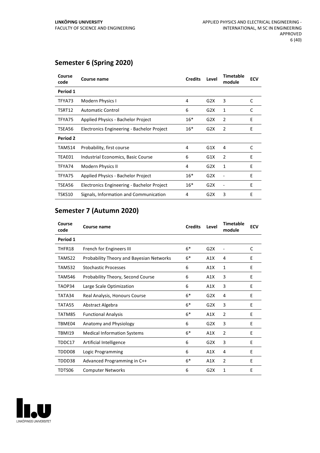# **Semester 6 (Spring 2020)**

| Course<br>code  | Course name                                | <b>Credits</b> | Level | <b>Timetable</b><br>module | <b>ECV</b> |
|-----------------|--------------------------------------------|----------------|-------|----------------------------|------------|
| Period 1        |                                            |                |       |                            |            |
| TFYA73          | Modern Physics I                           | 4              | G2X   | 3                          | C          |
| TSRT12          | <b>Automatic Control</b>                   | 6              | G2X   | 1                          | C          |
| TFYA75          | Applied Physics - Bachelor Project         | $16*$          | G2X   | $\overline{2}$             | Ε          |
| TSEA56          | Electronics Engineering - Bachelor Project | $16*$          | G2X   | 2                          | E          |
| <b>Period 2</b> |                                            |                |       |                            |            |
| TAMS14          | Probability, first course                  | 4              | G1X   | 4                          | C          |
| TEAE01          | Industrial Economics, Basic Course         | 6              | G1X   | $\overline{2}$             | E          |
| TFYA74          | <b>Modern Physics II</b>                   | 4              | G2X   | 1                          | Ε          |
| TFYA75          | Applied Physics - Bachelor Project         | $16*$          | G2X   |                            | E          |
| TSEA56          | Electronics Engineering - Bachelor Project | $16*$          | G2X   |                            | E          |
| TSKS10          | Signals, Information and Communication     | 4              | G2X   | 3                          | E          |

# **Semester 7 (Autumn 2020)**

| Course<br>code | Course name                              | <b>Credits</b> | Level | <b>Timetable</b><br>module | <b>ECV</b> |
|----------------|------------------------------------------|----------------|-------|----------------------------|------------|
| Period 1       |                                          |                |       |                            |            |
| THFR18         | French for Engineers III                 | $6*$           | G2X   |                            | C          |
| TAMS22         | Probability Theory and Bayesian Networks | $6*$           | A1X   | 4                          | E          |
| TAMS32         | <b>Stochastic Processes</b>              | 6              | A1X   | 1                          | F          |
| TAMS46         | Probability Theory, Second Course        | 6              | A1X   | 3                          | E          |
| TAOP34         | Large Scale Optimization                 | 6              | A1X   | 3                          | E          |
| TATA34         | Real Analysis, Honours Course            | $6*$           | G2X   | 4                          | E          |
| TATA55         | Abstract Algebra                         | $6*$           | G2X   | 3                          | E          |
| TATM85         | <b>Functional Analysis</b>               | $6*$           | A1X   | $\overline{2}$             | E          |
| TBME04         | Anatomy and Physiology                   | 6              | G2X   | 3                          | E          |
| TBMI19         | <b>Medical Information Systems</b>       | $6*$           | A1X   | $\mathcal{P}$              | F          |
| TDDC17         | Artificial Intelligence                  | 6              | G2X   | 3                          | E          |
| TDDD08         | Logic Programming                        | 6              | A1X   | 4                          | E          |
| TDDD38         | Advanced Programming in C++              | $6*$           | A1X   | $\overline{2}$             | E          |
| TDTS06         | <b>Computer Networks</b>                 | 6              | G2X   | 1                          | E          |

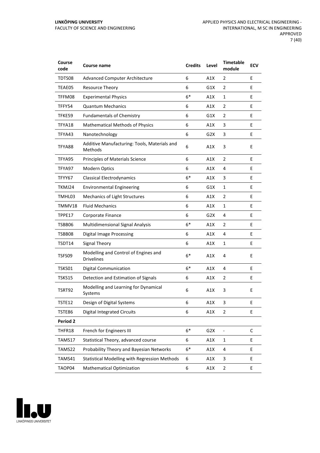| Course<br>code | Course name                                               | <b>Credits</b> | Level            | <b>Timetable</b><br>module | <b>ECV</b> |
|----------------|-----------------------------------------------------------|----------------|------------------|----------------------------|------------|
| TDTS08         | <b>Advanced Computer Architecture</b>                     | 6              | A1X              | 2                          | E          |
| TEAE05         | <b>Resource Theory</b>                                    | 6              | G1X              | $\overline{2}$             | E          |
| TFFM08         | <b>Experimental Physics</b>                               | $6*$           | A1X              | $\mathbf{1}$               | E          |
| TFFY54         | <b>Quantum Mechanics</b>                                  | 6              | A1X              | 2                          | E          |
| TFKE59         | <b>Fundamentals of Chemistry</b>                          | 6              | G1X              | $\overline{2}$             | E          |
| TFYA18         | <b>Mathematical Methods of Physics</b>                    | 6              | A1X              | 3                          | E          |
| TFYA43         | Nanotechnology                                            | 6              | G2X              | 3                          | E          |
| TFYA88         | Additive Manufacturing: Tools, Materials and<br>Methods   | 6              | A1X              | 3                          | E          |
| TFYA95         | Principles of Materials Science                           | 6              | A1X              | $\overline{2}$             | E          |
| TFYA97         | Modern Optics                                             | 6              | A1X              | 4                          | E          |
| TFYY67         | <b>Classical Electrodynamics</b>                          | $6*$           | A1X              | 3                          | E          |
| TKMJ24         | <b>Environmental Engineering</b>                          | 6              | G1X              | 1                          | E          |
| TMHL03         | Mechanics of Light Structures                             | 6              | A1X              | $\overline{2}$             | E          |
| TMMV18         | <b>Fluid Mechanics</b>                                    | 6              | A1X              | 1                          | E          |
| TPPE17         | Corporate Finance                                         | 6              | G2X              | 4                          | E          |
| TSBB06         | <b>Multidimensional Signal Analysis</b>                   | $6*$           | A1X              | $\overline{2}$             | E          |
| TSBB08         | <b>Digital Image Processing</b>                           | 6              | A1X              | 4                          | E          |
| TSDT14         | <b>Signal Theory</b>                                      | 6              | A1X              | $\mathbf{1}$               | E          |
| TSFS09         | Modelling and Control of Engines and<br><b>Drivelines</b> | $6*$           | A1X              | 4                          | E          |
| TSKS01         | <b>Digital Communication</b>                              | $6*$           | A1X              | 4                          | E          |
| TSKS15         | Detection and Estimation of Signals                       | 6              | A1X              | $\overline{2}$             | E          |
| TSRT92         | Modelling and Learning for Dynamical<br>Systems           | 6              | A1X              | 3                          | E          |
| TSTE12         | Design of Digital Systems                                 | 6              | A1X              | 3                          | E          |
| TSTE86         | <b>Digital Integrated Circuits</b>                        | 6              | A1X              | $\overline{2}$             | E          |
| Period 2       |                                                           |                |                  |                            |            |
| THFR18         | French for Engineers III                                  | $6*$           | G <sub>2</sub> X |                            | C          |
| TAMS17         | Statistical Theory, advanced course                       | 6              | A1X              | $\mathbf{1}$               | E          |
| TAMS22         | Probability Theory and Bayesian Networks                  | $6*$           | A1X              | 4                          | E          |
| TAMS41         | <b>Statistical Modelling with Regression Methods</b>      | 6              | A1X              | 3                          | E          |
| TAOP04         | <b>Mathematical Optimization</b>                          | 6              | A1X              | $\overline{2}$             | E          |

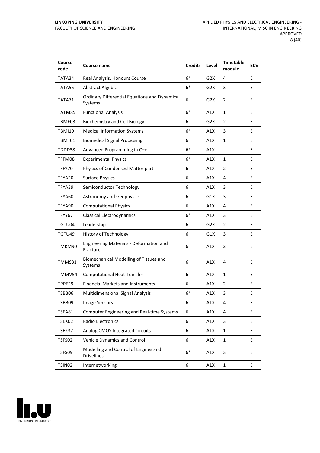| Course<br>code | Course name                                                     | <b>Credits</b> | Level            | <b>Timetable</b><br>module | <b>ECV</b> |
|----------------|-----------------------------------------------------------------|----------------|------------------|----------------------------|------------|
| TATA34         | Real Analysis, Honours Course                                   | $6*$           | G2X              | 4                          | E          |
| TATA55         | Abstract Algebra                                                | $6*$           | G <sub>2</sub> X | 3                          | E          |
| TATA71         | <b>Ordinary Differential Equations and Dynamical</b><br>Systems | 6              | G <sub>2</sub> X | $\overline{2}$             | E          |
| TATM85         | <b>Functional Analysis</b>                                      | $6*$           | A1X              | 1                          | E          |
| TBME03         | <b>Biochemistry and Cell Biology</b>                            | 6              | G <sub>2</sub> X | $\overline{2}$             | E          |
| <b>TBMI19</b>  | <b>Medical Information Systems</b>                              | $6*$           | A1X              | 3                          | E          |
| TBMT01         | <b>Biomedical Signal Processing</b>                             | 6              | A1X              | 1                          | E          |
| TDDD38         | Advanced Programming in C++                                     | $6*$           | A1X              |                            | E          |
| TFFM08         | <b>Experimental Physics</b>                                     | $6*$           | A1X              | $\mathbf{1}$               | E          |
| TFFY70         | Physics of Condensed Matter part I                              | 6              | A1X              | 2                          | E          |
| TFYA20         | <b>Surface Physics</b>                                          | 6              | A1X              | 4                          | E          |
| TFYA39         | Semiconductor Technology                                        | 6              | A1X              | 3                          | E          |
| TFYA60         | <b>Astronomy and Geophysics</b>                                 | 6              | G1X              | 3                          | E          |
| TFYA90         | <b>Computational Physics</b>                                    | 6              | A1X              | 4                          | E          |
| TFYY67         | <b>Classical Electrodynamics</b>                                | $6*$           | A1X              | 3                          | E          |
| TGTU04         | Leadership                                                      | 6              | G2X              | $\overline{2}$             | E.         |
| TGTU49         | <b>History of Technology</b>                                    | 6              | G1X              | 3                          | E          |
| TMKM90         | Engineering Materials - Deformation and<br>Fracture             | 6              | A1X              | $\overline{2}$             | E          |
| TMMS31         | Biomechanical Modelling of Tissues and<br>Systems               | 6              | A1X              | 4                          | E          |
| TMMV54         | <b>Computational Heat Transfer</b>                              | 6              | A1X              | $\mathbf{1}$               | E          |
| TPPE29         | <b>Financial Markets and Instruments</b>                        | 6              | A1X              | $\overline{2}$             | E          |
| TSBB06         | <b>Multidimensional Signal Analysis</b>                         | $6*$           | A1X              | 3                          | E          |
| TSBB09         | Image Sensors                                                   | 6              | A1X              | 4                          | Ε          |
| TSEA81         | <b>Computer Engineering and Real-time Systems</b>               | 6              | A1X              | 4                          | E.         |
| TSEK02         | <b>Radio Electronics</b>                                        | 6              | A1X              | 3                          | E          |
| TSEK37         | Analog CMOS Integrated Circuits                                 | 6              | A1X              | $\mathbf{1}$               | E          |
| TSFS02         | Vehicle Dynamics and Control                                    | 6              | A1X              | $\mathbf{1}$               | E          |
| TSFS09         | Modelling and Control of Engines and<br><b>Drivelines</b>       | $6*$           | A1X              | 3                          | E          |
| TSIN02         | Internetworking                                                 | 6              | A1X              | $\mathbf{1}$               | E          |

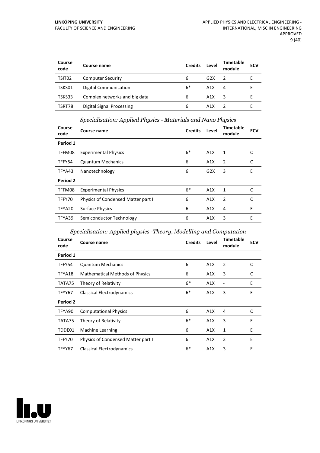| Course<br>code     | Course name                      | <b>Credits</b> | Level | Timetable<br>module | <b>ECV</b> |
|--------------------|----------------------------------|----------------|-------|---------------------|------------|
| TSIT <sub>02</sub> | <b>Computer Security</b>         | 6              | G2X   |                     |            |
| TSKS01             | Digital Communication            | $6*$           | A1X   | 4                   |            |
| TSKS33             | Complex networks and big data    | 6              | A1X   |                     |            |
| TSRT78             | <b>Digital Signal Processing</b> | 6              | A1X   |                     |            |

#### *Specialisation: Applied Physics - Materials and Nano Physics*

| Course<br>code  | Course name                        | <b>Credits</b> | Level | <b>Timetable</b><br>module | <b>ECV</b> |
|-----------------|------------------------------------|----------------|-------|----------------------------|------------|
| Period 1        |                                    |                |       |                            |            |
| TFFM08          | <b>Experimental Physics</b>        | $6*$           | A1X   | 1                          | C          |
| TFFY54          | <b>Quantum Mechanics</b>           | 6              | A1X   | 2                          | C          |
| TFYA43          | Nanotechnology                     | 6              | G2X   | 3                          | E          |
| <b>Period 2</b> |                                    |                |       |                            |            |
| TFFM08          | <b>Experimental Physics</b>        | $6*$           | A1X   | 1                          | C          |
| TFFY70          | Physics of Condensed Matter part I | 6              | A1X   | 2                          | C          |
| TFYA20          | <b>Surface Physics</b>             | 6              | A1X   | 4                          | E          |
| TFYA39          | Semiconductor Technology           | 6              | A1X   | 3                          | E          |

#### *Specialisation: Applied physics -Theory, Modelling and Computation*

| Course<br>code | Course name                            | <b>Credits</b> | Level | <b>Timetable</b><br>module | <b>ECV</b> |
|----------------|----------------------------------------|----------------|-------|----------------------------|------------|
| Period 1       |                                        |                |       |                            |            |
| TFFY54         | <b>Quantum Mechanics</b>               | 6              | A1X   | 2                          | C          |
| TFYA18         | <b>Mathematical Methods of Physics</b> | 6              | A1X   | 3                          | C          |
| TATA75         | Theory of Relativity                   | $6*$           | A1X   |                            | E          |
| TFYY67         | Classical Electrodynamics              | $6*$           | A1X   | 3                          | E          |
| Period 2       |                                        |                |       |                            |            |
| TFYA90         | <b>Computational Physics</b>           | 6              | A1X   | 4                          | C          |
| TATA75         | Theory of Relativity                   | $6*$           | A1X   | 3                          | E          |
| TDDE01         | <b>Machine Learning</b>                | 6              | A1X   | 1                          | Ε          |
| TFFY70         | Physics of Condensed Matter part I     | 6              | A1X   | 2                          | E          |
| TFYY67         | Classical Electrodynamics              | $6*$           | A1X   | 3                          | E          |

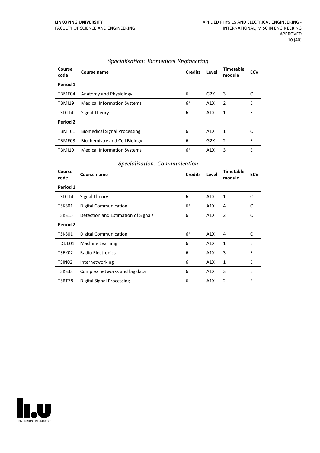| Course<br>code | Course name                         | <b>Credits</b> | Level            | <b>Timetable</b><br>module | <b>ECV</b> |
|----------------|-------------------------------------|----------------|------------------|----------------------------|------------|
| Period 1       |                                     |                |                  |                            |            |
| TBME04         | Anatomy and Physiology              | 6              | G2X              | 3                          | C          |
| <b>TBMI19</b>  | <b>Medical Information Systems</b>  | $6*$           | A1X              | $\overline{2}$             | Ε          |
| TSDT14         | Signal Theory                       | 6              | A1X              | 1                          | E          |
| Period 2       |                                     |                |                  |                            |            |
| TBMT01         | <b>Biomedical Signal Processing</b> | 6              | A1X              | 1                          |            |
| TBME03         | Biochemistry and Cell Biology       | 6              | G2X              | $\overline{2}$             | E          |
| <b>TBMI19</b>  | <b>Medical Information Systems</b>  | $6*$           | A <sub>1</sub> X | 3                          | E          |

#### *Specialisation: Biomedical Engineering*

#### *Specialisation: Communication*

| Course<br>code     | Course name                         | <b>Credits</b> | Level | <b>Timetable</b><br>module | <b>ECV</b> |
|--------------------|-------------------------------------|----------------|-------|----------------------------|------------|
| Period 1           |                                     |                |       |                            |            |
| TSDT14             | Signal Theory                       | 6              | A1X   | 1                          | C          |
| TSKS01             | <b>Digital Communication</b>        | $6*$           | A1X   | 4                          | C          |
| TSKS15             | Detection and Estimation of Signals | 6              | A1X   | $\overline{2}$             | C          |
| Period 2           |                                     |                |       |                            |            |
| TSKS01             | Digital Communication               | $6*$           | A1X   | 4                          | C          |
| TDDE01             | <b>Machine Learning</b>             | 6              | A1X   | 1                          | E          |
| TSEK02             | <b>Radio Electronics</b>            | 6              | A1X   | 3                          | E          |
| TSIN <sub>02</sub> | Internetworking                     | 6              | A1X   | 1                          | E          |
| TSKS33             | Complex networks and big data       | 6              | A1X   | 3                          | E          |
| TSRT78             | Digital Signal Processing           | 6              | A1X   | 2                          | E          |

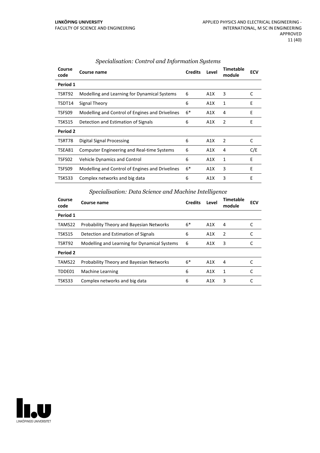| Course<br>code | Course name                                       |      | Level | <b>Timetable</b><br>module | <b>ECV</b> |
|----------------|---------------------------------------------------|------|-------|----------------------------|------------|
| Period 1       |                                                   |      |       |                            |            |
| TSRT92         | Modelling and Learning for Dynamical Systems      |      | A1X   | 3                          | C          |
| TSDT14         | Signal Theory                                     |      | A1X   | 1                          | E          |
| TSFS09         | Modelling and Control of Engines and Drivelines   |      | A1X   | 4                          | E          |
| TSKS15         | Detection and Estimation of Signals               | 6    | A1X   | 2                          | E          |
| Period 2       |                                                   |      |       |                            |            |
| TSRT78         | Digital Signal Processing                         | 6    | A1X   | 2                          | C          |
| TSEA81         | <b>Computer Engineering and Real-time Systems</b> | 6    | A1X   | 4                          | C/E        |
| TSFS02         | <b>Vehicle Dynamics and Control</b>               | 6    | A1X   | 1                          | E          |
| TSFS09         | Modelling and Control of Engines and Drivelines   | $6*$ | A1X   | 3                          | E          |
| TSKS33         | Complex networks and big data                     | 6    | A1X   | 3                          | E          |

#### *Specialisation: Control and Information Systems*

# *Specialisation: Data Science and Machine Intelligence*

| Course<br>code | Course name                                     |   | Level            | <b>Timetable</b><br>module | <b>ECV</b> |
|----------------|-------------------------------------------------|---|------------------|----------------------------|------------|
| Period 1       |                                                 |   |                  |                            |            |
| TAMS22         | <b>Probability Theory and Bayesian Networks</b> |   | A1X              | 4                          |            |
| TSKS15         | Detection and Estimation of Signals             | 6 | A1X              | 2                          |            |
| TSRT92         | Modelling and Learning for Dynamical Systems    | 6 | A1X              | 3                          |            |
| Period 2       |                                                 |   |                  |                            |            |
| TAMS22         | <b>Probability Theory and Bayesian Networks</b> |   | A1X              | 4                          |            |
| TDDE01         | Machine Learning                                | 6 | A <sub>1</sub> X | 1                          |            |
| TSKS33         | Complex networks and big data                   | 6 | A1X              | 3                          |            |

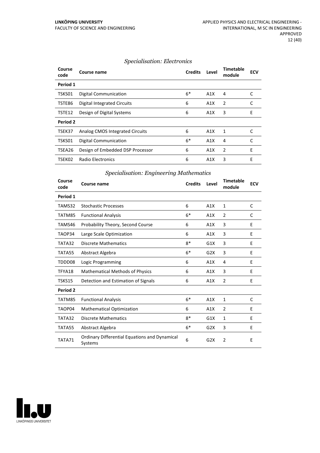#### *Specialisation: Electronics*

| Course<br>code | Course name                      | <b>Credits</b> | Level | <b>Timetable</b><br>module | ECV |
|----------------|----------------------------------|----------------|-------|----------------------------|-----|
| Period 1       |                                  |                |       |                            |     |
| TSKS01         | <b>Digital Communication</b>     | $6*$           | A1X   | 4                          | C   |
| TSTE86         | Digital Integrated Circuits      | 6              | A1X   | $\overline{2}$             | C   |
| TSTE12         | Design of Digital Systems        | 6              | A1X   | 3                          | E   |
| Period 2       |                                  |                |       |                            |     |
| TSEK37         | Analog CMOS Integrated Circuits  | 6              | A1X   | 1                          | C   |
| TSKS01         | <b>Digital Communication</b>     | $6*$           | A1X   | 4                          | C   |
| TSEA26         | Design of Embedded DSP Processor | 6              | A1X   | 2                          | E   |
| TSEK02         | Radio Electronics                | 6              | A1X   | 3                          | E   |

#### *Specialisation: Engineering Mathematics*

| Course<br>code | <b>Course name</b>                                       | <b>Credits</b> | Level | <b>Timetable</b><br>module | <b>ECV</b> |
|----------------|----------------------------------------------------------|----------------|-------|----------------------------|------------|
| Period 1       |                                                          |                |       |                            |            |
| TAMS32         | <b>Stochastic Processes</b>                              | 6              | A1X   | 1                          | C          |
| TATM85         | <b>Functional Analysis</b>                               | $6*$           | A1X   | 2                          | C          |
| TAMS46         | Probability Theory, Second Course                        | 6              | A1X   | 3                          | E          |
| TAOP34         | Large Scale Optimization                                 | 6              | A1X   | 3                          | E          |
| TATA32         | <b>Discrete Mathematics</b>                              |                | G1X   | 3                          | E          |
| TATA55         | Abstract Algebra                                         |                | G2X   | 3                          | E          |
| TDDD08         | Logic Programming                                        | 6              | A1X   | 4                          | E          |
| TFYA18         | <b>Mathematical Methods of Physics</b>                   | 6              | A1X   | 3                          | E          |
| TSKS15         | Detection and Estimation of Signals                      | 6              | A1X   | $\overline{2}$             | Е          |
| Period 2       |                                                          |                |       |                            |            |
| TATM85         | <b>Functional Analysis</b>                               | $6*$           | A1X   | $\mathbf{1}$               | C          |
| TAOP04         | <b>Mathematical Optimization</b>                         | 6              | A1X   | $\overline{2}$             | E          |
| TATA32         | Discrete Mathematics                                     | $8*$           | G1X   | $\mathbf{1}$               | E          |
| TATA55         | Abstract Algebra                                         | $6*$           | G2X   | 3                          | E          |
| TATA71         | Ordinary Differential Equations and Dynamical<br>Systems | 6              | G2X   | $\overline{2}$             | Е          |

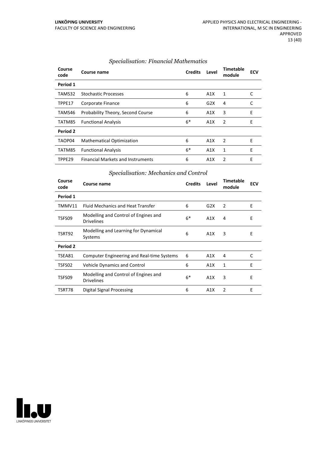| Course<br>code | Course name                              | <b>Credits</b> | Level | <b>Timetable</b><br>module | <b>ECV</b> |
|----------------|------------------------------------------|----------------|-------|----------------------------|------------|
| Period 1       |                                          |                |       |                            |            |
| TAMS32         | <b>Stochastic Processes</b>              | 6              | A1X   | 1                          | C          |
| TPPE17         | Corporate Finance                        | 6              | G2X   | 4                          | C          |
| TAMS46         | Probability Theory, Second Course        | 6              | A1X   | 3                          | E          |
| TATM85         | <b>Functional Analysis</b>               | $6*$           | A1X   | $\overline{2}$             | E          |
| Period 2       |                                          |                |       |                            |            |
| TAOP04         | <b>Mathematical Optimization</b>         | 6              | A1X   | 2                          | E          |
| TATM85         | <b>Functional Analysis</b>               | $6*$           | A1X   | 1                          | E          |
| TPPE29         | <b>Financial Markets and Instruments</b> | 6              | A1X   | $\mathcal{P}$              | E          |

#### *Specialisation: Financial Mathematics*

#### *Specialisation: Mechanics and Control*

| Period 1<br><b>Fluid Mechanics and Heat Transfer</b><br>6<br>TMMV11<br>G2X<br>2         |   |
|-----------------------------------------------------------------------------------------|---|
|                                                                                         |   |
|                                                                                         | E |
| Modelling and Control of Engines and<br>$6*$<br>TSFS09<br>A1X<br>4<br><b>Drivelines</b> | Ε |
| Modelling and Learning for Dynamical<br>6<br>TSRT92<br>3<br>A1X<br>Systems              | Ε |
| Period 2                                                                                |   |
| <b>Computer Engineering and Real-time Systems</b><br>6<br>TSEA81<br>A1X<br>4            | С |
| 6<br>TSFS02<br><b>Vehicle Dynamics and Control</b><br>A1X<br>1                          | E |
| Modelling and Control of Engines and<br>$6*$<br>3<br>TSFS09<br>A1X<br><b>Drivelines</b> | E |
| 2<br>Digital Signal Processing<br>6<br>TSRT78<br>A1X                                    | E |

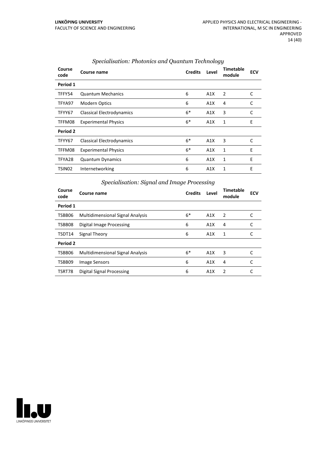| Course<br>code     | Course name                      | <b>Credits</b> | Level | Timetable<br>module | <b>ECV</b> |
|--------------------|----------------------------------|----------------|-------|---------------------|------------|
| Period 1           |                                  |                |       |                     |            |
| TFFY54             | <b>Quantum Mechanics</b>         | 6              | A1X   | 2                   | C          |
| TFYA97             | <b>Modern Optics</b>             | 6              | A1X   | 4                   | C          |
| TFYY67             | <b>Classical Electrodynamics</b> | $6*$           | A1X   | 3                   | C          |
| TFFM08             | <b>Experimental Physics</b>      | $6*$           | A1X   | 1                   | E          |
| Period 2           |                                  |                |       |                     |            |
| TFYY67             | Classical Electrodynamics        | $6*$           | A1X   | 3                   | C          |
| TFFM08             | <b>Experimental Physics</b>      | $6*$           | A1X   | 1                   | E          |
| TFYA28             | <b>Quantum Dynamics</b>          | 6              | A1X   | 1                   | E          |
| TSIN <sub>02</sub> | Internetworking                  | 6              | A1X   | 1                   | Е          |

#### *Specialisation: Photonics and Quantum Technology*

| Specialisation: Signal and Image Processing |  |  |  |
|---------------------------------------------|--|--|--|
|                                             |  |  |  |

| Course<br>code | Course name                             | <b>Credits</b> | Level | <b>Timetable</b><br>module | <b>ECV</b> |
|----------------|-----------------------------------------|----------------|-------|----------------------------|------------|
| Period 1       |                                         |                |       |                            |            |
| TSBB06         | <b>Multidimensional Signal Analysis</b> | $6*$           | A1X   | $\overline{2}$             |            |
| TSBB08         | <b>Digital Image Processing</b>         | 6              | A1X   | 4                          | C          |
| TSDT14         | Signal Theory                           | 6              | A1X   | 1                          |            |
| Period 2       |                                         |                |       |                            |            |
| TSBB06         | <b>Multidimensional Signal Analysis</b> | $6*$           | A1X   | 3                          |            |
| TSBB09         | <b>Image Sensors</b>                    | 6              | A1X   | 4                          | C          |
| TSRT78         | Digital Signal Processing               | 6              | A1X   | $\overline{2}$             | C          |

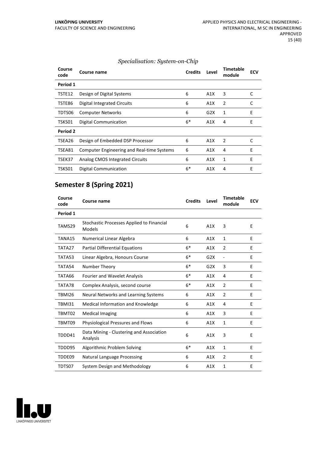| Course<br>code  | Course name                                       | <b>Credits</b> | Level | <b>Timetable</b><br>module | <b>ECV</b> |
|-----------------|---------------------------------------------------|----------------|-------|----------------------------|------------|
| Period 1        |                                                   |                |       |                            |            |
| TSTE12          | Design of Digital Systems                         | 6              | A1X   | 3                          | C          |
| TSTE86          | <b>Digital Integrated Circuits</b>                | 6              | A1X   | 2                          | C          |
| TDTS06          | <b>Computer Networks</b>                          | 6              | G2X   | 1                          | E          |
| TSKS01          | <b>Digital Communication</b>                      | $6*$           | A1X   | 4                          | E          |
| <b>Period 2</b> |                                                   |                |       |                            |            |
| TSEA26          | Design of Embedded DSP Processor                  | 6              | A1X   | 2                          | C          |
| TSEA81          | <b>Computer Engineering and Real-time Systems</b> | 6              | A1X   | 4                          | E          |
| TSEK37          | Analog CMOS Integrated Circuits                   | 6              | A1X   | 1                          | E          |
| TSKS01          | Digital Communication                             | $6*$           | A1X   | $\overline{4}$             | E          |

#### *Specialisation: System-on-Chip*

#### **Semester 8 (Spring 2021)**

| Course<br>code | Course name                                                | <b>Credits</b> | Level | <b>Timetable</b><br>module | <b>ECV</b> |
|----------------|------------------------------------------------------------|----------------|-------|----------------------------|------------|
| Period 1       |                                                            |                |       |                            |            |
| TAMS29         | Stochastic Processes Applied to Financial<br><b>Models</b> | 6              | A1X   | 3                          | E          |
| TANA15         | Numerical Linear Algebra                                   | 6              | A1X   | 1                          | E          |
| TATA27         | <b>Partial Differential Equations</b>                      | $6*$           | A1X   | 2                          | E          |
| TATA53         | Linear Algebra, Honours Course                             | $6*$           | G2X   | $\overline{\phantom{a}}$   | E          |
| TATA54         | Number Theory                                              | $6*$           | G2X   | 3                          | E          |
| TATA66         | <b>Fourier and Wavelet Analysis</b>                        | $6*$           | A1X   | 4                          | E          |
| TATA78         | Complex Analysis, second course                            | $6*$           | A1X   | $\overline{2}$             | E          |
| <b>TBMI26</b>  | Neural Networks and Learning Systems                       | 6              | A1X   | 2                          | E          |
| TBMI31         | Medical Information and Knowledge                          | 6              | A1X   | 4                          | E          |
| TBMT02         | <b>Medical Imaging</b>                                     | 6              | A1X   | 3                          | E          |
| TBMT09         | <b>Physiological Pressures and Flows</b>                   | 6              | A1X   | $\mathbf{1}$               | E          |
| TDDD41         | Data Mining - Clustering and Association<br>Analysis       | 6              | A1X   | 3                          | E          |
| TDDD95         | Algorithmic Problem Solving                                | $6*$           | A1X   | $\mathbf{1}$               | F          |
| TDDE09         | <b>Natural Language Processing</b>                         | 6              | A1X   | 2                          | E          |
| TDTS07         | System Design and Methodology                              | 6              | A1X   | $\mathbf{1}$               | E          |

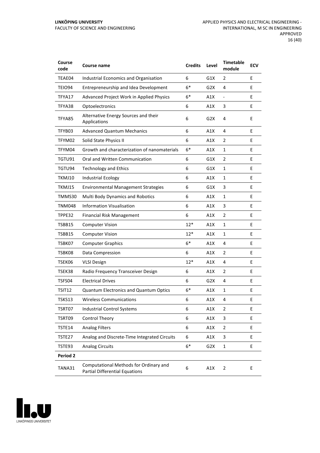| Course<br>code | Course name                                                                     | <b>Credits</b> | Level            | <b>Timetable</b><br>module | <b>ECV</b> |
|----------------|---------------------------------------------------------------------------------|----------------|------------------|----------------------------|------------|
| TEAE04         | Industrial Economics and Organisation                                           | 6              | G1X              | 2                          | E          |
| TEIO94         | Entrepreneurship and Idea Development                                           | $6*$           | G2X              | 4                          | E          |
| TFYA17         | Advanced Project Work in Applied Physics                                        | $6*$           | A1X              | $\blacksquare$             | E          |
| TFYA38         | Optoelectronics                                                                 | 6              | A1X              | 3                          | E          |
| TFYA85         | Alternative Energy Sources and their<br>Applications                            | 6              | G <sub>2</sub> X | 4                          | E          |
| TFYB03         | <b>Advanced Quantum Mechanics</b>                                               | 6              | A1X              | 4                          | E          |
| TFYM02         | Solid State Physics II                                                          | 6              | A1X              | 2                          | E          |
| TFYM04         | Growth and characterization of nanomaterials                                    | $6*$           | A1X              | $\mathbf{1}$               | E.         |
| TGTU91         | Oral and Written Communication                                                  | 6              | G1X              | 2                          | E          |
| TGTU94         | <b>Technology and Ethics</b>                                                    | 6              | G1X              | 1                          | E          |
| TKMJ10         | <b>Industrial Ecology</b>                                                       | 6              | A1X              | $\mathbf{1}$               | E          |
| TKMJ15         | <b>Environmental Management Strategies</b>                                      | 6              | G1X              | 3                          | E          |
| TMMS30         | <b>Multi Body Dynamics and Robotics</b>                                         | 6              | A1X              | 1                          | E          |
| TNM048         | <b>Information Visualisation</b>                                                | 6              | A1X              | 3                          | E          |
| TPPE32         | <b>Financial Risk Management</b>                                                | 6              | A1X              | 2                          | E          |
| TSBB15         | <b>Computer Vision</b>                                                          | $12*$          | A1X              | $\mathbf{1}$               | Е          |
| TSBB15         | <b>Computer Vision</b>                                                          | $12*$          | A1X              | $\mathbf{1}$               | E          |
| TSBK07         | <b>Computer Graphics</b>                                                        | $6*$           | A1X              | 4                          | E          |
| TSBK08         | Data Compression                                                                | 6              | A1X              | 2                          | E          |
| TSEK06         | <b>VLSI Design</b>                                                              | $12*$          | A1X              | 4                          | E          |
| TSEK38         | Radio Frequency Transceiver Design                                              | 6              | A1X              | $\overline{2}$             | Е          |
| TSFS04         | <b>Electrical Drives</b>                                                        | 6              | G2X              | 4                          | E          |
| TSIT12         | Quantum Electronics and Quantum Optics                                          | $6*$           | A1X              | 1                          | E          |
| TSKS13         | <b>Wireless Communications</b>                                                  | 6              | A1X              | 4                          | Ε          |
| TSRT07         | <b>Industrial Control Systems</b>                                               | 6              | A1X              | $\overline{2}$             | E          |
| TSRT09         | <b>Control Theory</b>                                                           | 6              | A1X              | $\ensuremath{\mathsf{3}}$  | E          |
| TSTE14         | <b>Analog Filters</b>                                                           | 6              | A1X              | $\overline{2}$             | E          |
| TSTE27         | Analog and Discrete-Time Integrated Circuits                                    | 6              | A1X              | 3                          | E          |
| TSTE93         | <b>Analog Circuits</b>                                                          | $6*$           | G2X              | $\mathbf{1}$               | E          |
| Period 2       |                                                                                 |                |                  |                            |            |
| TANA31         | Computational Methods for Ordinary and<br><b>Partial Differential Equations</b> | 6              | A1X              | $\overline{2}$             | E          |

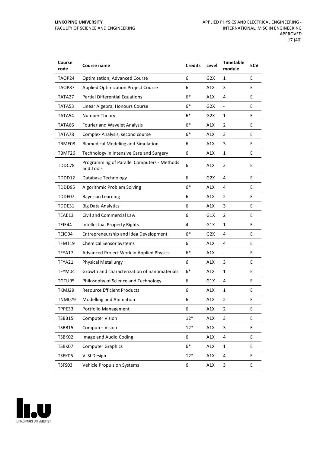| Course<br>code | <b>Course name</b>                                       | <b>Credits</b> | Level            | <b>Timetable</b><br>module   | <b>ECV</b> |
|----------------|----------------------------------------------------------|----------------|------------------|------------------------------|------------|
| TAOP24         | Optimization, Advanced Course                            | 6              | G2X              | 1                            | E          |
| TAOP87         | <b>Applied Optimization Project Course</b>               | 6              | A1X              | 3                            | E          |
| TATA27         | <b>Partial Differential Equations</b>                    | $6*$           | A1X              | 4                            | E          |
| TATA53         | Linear Algebra, Honours Course                           | 6*             | G2X              | $\qquad \qquad \blacksquare$ | E          |
| TATA54         | Number Theory                                            | $6*$           | G2X              | 1                            | E          |
| TATA66         | Fourier and Wavelet Analysis                             | $6*$           | A1X              | 2                            | E          |
| TATA78         | Complex Analysis, second course                          | $6*$           | A1X              | 3                            | E          |
| TBME08         | <b>Biomedical Modeling and Simulation</b>                | 6              | A1X              | 3                            | E          |
| TBMT26         | Technology in Intensive Care and Surgery                 | 6              | A1X              | $\mathbf{1}$                 | E          |
| TDDC78         | Programming of Parallel Computers - Methods<br>and Tools | 6              | A1X              | 3                            | E          |
| TDDD12         | Database Technology                                      | 6              | G <sub>2</sub> X | 4                            | E          |
| TDDD95         | Algorithmic Problem Solving                              | $6*$           | A1X              | 4                            | E          |
| TDDE07         | <b>Bayesian Learning</b>                                 | 6              | A1X              | 2                            | E          |
| TDDE31         | <b>Big Data Analytics</b>                                | 6              | A1X              | 3                            | E          |
| TEAE13         | Civil and Commercial Law                                 | 6              | G1X              | $\overline{2}$               | E          |
| TEIE44         | <b>Intellectual Property Rights</b>                      | 4              | G1X              | $\mathbf{1}$                 | E          |
| TEIO94         | Entrepreneurship and Idea Development                    | $6*$           | G2X              | 4                            | E          |
| TFMT19         | <b>Chemical Sensor Systems</b>                           | 6              | A1X              | 4                            | E          |
| TFYA17         | Advanced Project Work in Applied Physics                 | $6*$           | A1X              | $\blacksquare$               | E          |
| TFYA21         | <b>Physical Metallurgy</b>                               | 6              | A1X              | 3                            | E          |
| TFYM04         | Growth and characterization of nanomaterials             | $6*$           | A1X              | $\mathbf{1}$                 | E          |
| TGTU95         | Philosophy of Science and Technology                     | 6              | G1X              | 4                            | E          |
| TKMJ29         | <b>Resource Efficient Products</b>                       | 6              | A1X              | 1                            | E          |
| <b>TNM079</b>  | Modelling and Animation                                  | 6              | A1X              | 2                            | Ε          |
| TPPE33         | Portfolio Management                                     | 6              | A1X              | $\overline{2}$               | E          |
| TSBB15         | <b>Computer Vision</b>                                   | $12*$          | A1X              | $\ensuremath{\mathsf{3}}$    | E          |
| TSBB15         | <b>Computer Vision</b>                                   | $12*$          | A1X              | 3                            | E          |
| TSBK02         | Image and Audio Coding                                   | 6              | A1X              | 4                            | E          |
| TSBK07         | <b>Computer Graphics</b>                                 | $6*$           | A1X              | $\mathbf{1}$                 | E          |
| TSEK06         | <b>VLSI Design</b>                                       | $12*$          | A1X              | 4                            | E          |
| TSFS03         | Vehicle Propulsion Systems                               | 6              | A1X              | 3                            | E          |

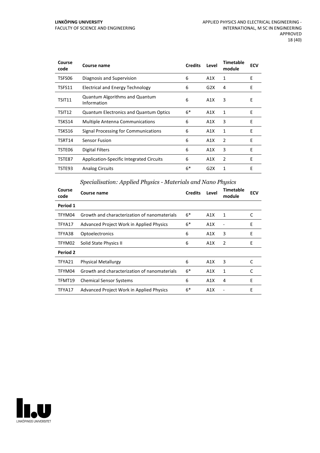| Course<br>code | Course name                                          | <b>Credits</b> | Level | <b>Timetable</b><br>module | <b>ECV</b> |
|----------------|------------------------------------------------------|----------------|-------|----------------------------|------------|
| TSFS06         | Diagnosis and Supervision                            | 6              | A1X   | 1                          | E          |
| TSFS11         | <b>Electrical and Energy Technology</b>              | 6              | G2X   | 4                          | E          |
| TSIT11         | <b>Quantum Algorithms and Quantum</b><br>Information | 6              | A1X   | 3                          | E          |
| TSIT12         | <b>Quantum Electronics and Quantum Optics</b>        | $6*$           | A1X   | 1                          | E          |
| TSKS14         | <b>Multiple Antenna Communications</b>               | 6              | A1X   | 3                          | E          |
| TSKS16         | Signal Processing for Communications                 | 6              | A1X   | 1                          | E          |
| TSRT14         | Sensor Fusion                                        | 6              | A1X   | 2                          | E          |
| TSTE06         | Digital Filters                                      | 6              | A1X   | 3                          | E          |
| TSTE87         | Application-Specific Integrated Circuits             | 6              | A1X   | 2                          | E          |
| TSTE93         | <b>Analog Circuits</b>                               | $6*$           | G2X   | 1                          | E          |

#### *Specialisation: Applied Physics - Materials and Nano Physics*

| Course<br>code | Course name                                     | <b>Credits</b> | Level | <b>Timetable</b><br>module | <b>ECV</b> |
|----------------|-------------------------------------------------|----------------|-------|----------------------------|------------|
| Period 1       |                                                 |                |       |                            |            |
| TFYM04         | Growth and characterization of nanomaterials    | $6*$           | A1X   | 1                          | C          |
| TFYA17         | <b>Advanced Project Work in Applied Physics</b> | 6*             | A1X   |                            | E          |
| TFYA38         | Optoelectronics                                 | 6              | A1X   | 3                          | E          |
| TFYM02         | Solid State Physics II                          | 6              | A1X   | 2                          | E          |
| Period 2       |                                                 |                |       |                            |            |
| TFYA21         | <b>Physical Metallurgy</b>                      | 6              | A1X   | 3                          | C          |
| TFYM04         | Growth and characterization of nanomaterials    | $6*$           | A1X   | 1                          | C          |
| TFMT19         | <b>Chemical Sensor Systems</b>                  | 6              | A1X   | 4                          | E          |
| TFYA17         | <b>Advanced Project Work in Applied Physics</b> | $6*$           | A1X   |                            | E          |

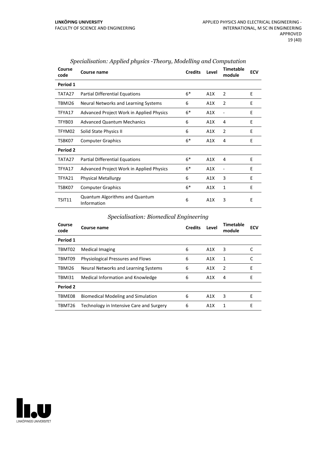| Course<br>code | Course name                                          | <b>Credits</b> | Level | <b>Timetable</b><br>module | <b>ECV</b> |
|----------------|------------------------------------------------------|----------------|-------|----------------------------|------------|
| Period 1       |                                                      |                |       |                            |            |
| TATA27         | <b>Partial Differential Equations</b>                | $6*$           | A1X   | 2                          | E          |
| TBMI26         | Neural Networks and Learning Systems                 | 6              | A1X   | 2                          | E          |
| TFYA17         | <b>Advanced Project Work in Applied Physics</b>      | $6*$           | A1X   |                            | E          |
| TFYB03         | <b>Advanced Quantum Mechanics</b>                    | 6              | A1X   | 4                          | E          |
| TFYM02         | Solid State Physics II                               | 6              | A1X   | 2                          | E          |
| TSBK07         | <b>Computer Graphics</b>                             | $6*$           | A1X   | 4                          | E          |
| Period 2       |                                                      |                |       |                            |            |
| TATA27         | <b>Partial Differential Equations</b>                | $6*$           | A1X   | 4                          | E          |
| TFYA17         | <b>Advanced Project Work in Applied Physics</b>      | $6*$           | A1X   | $\qquad \qquad -$          | F          |
| TFYA21         | <b>Physical Metallurgy</b>                           | 6              | A1X   | 3                          | E          |
| TSBK07         | <b>Computer Graphics</b>                             | $6*$           | A1X   | 1                          | F.         |
| TSIT11         | <b>Quantum Algorithms and Quantum</b><br>Information | 6              | A1X   | 3                          | E          |

#### *Specialisation: Applied physics -Theory, Modelling and Computation*

#### *Specialisation: Biomedical Engineering*

| Course<br>code  | Course name                               | <b>Credits</b> | Level            | <b>Timetable</b><br>module | <b>ECV</b> |
|-----------------|-------------------------------------------|----------------|------------------|----------------------------|------------|
| Period 1        |                                           |                |                  |                            |            |
| TBMT02          | Medical Imaging                           | 6              | A1X              | 3                          |            |
| TBMT09          | <b>Physiological Pressures and Flows</b>  | 6              | A1X              | 1                          |            |
| TBMI26          | Neural Networks and Learning Systems      | 6              | A1X              | 2                          | E          |
| TBMI31          | Medical Information and Knowledge         | 6              | A1X              | 4                          | Е          |
| <b>Period 2</b> |                                           |                |                  |                            |            |
| TBME08          | <b>Biomedical Modeling and Simulation</b> | 6              | A1X              | 3                          | F          |
| TBMT26          | Technology in Intensive Care and Surgery  | 6              | A <sub>1</sub> X | 1                          | E          |

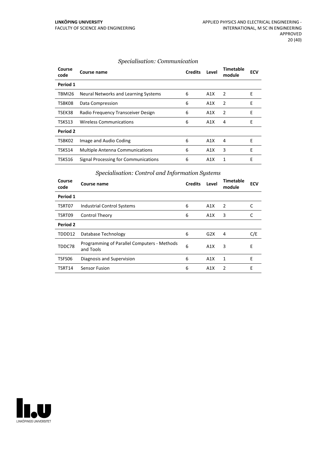#### *Specialisation: Communication*

| Course<br>code | Course name                            | <b>Credits</b> | Level | Timetable<br>module | ECV |
|----------------|----------------------------------------|----------------|-------|---------------------|-----|
| Period 1       |                                        |                |       |                     |     |
| TBMI26         | Neural Networks and Learning Systems   | 6              | A1X   | 2                   | Ε   |
| TSBK08         | Data Compression                       | 6              | A1X   | 2                   | E   |
| TSEK38         | Radio Frequency Transceiver Design     | 6              | A1X   | 2                   | Ε   |
| TSKS13         | <b>Wireless Communications</b>         | 6              | A1X   | 4                   | Е   |
| Period 2       |                                        |                |       |                     |     |
| TSBK02         | Image and Audio Coding                 | 6              | A1X   | 4                   | Е   |
| TSKS14         | <b>Multiple Antenna Communications</b> | 6              | A1X   | 3                   | E   |
| TSKS16         | Signal Processing for Communications   | 6              | A1X   | 1                   | E   |

#### *Specialisation: Control and Information Systems*

| Course<br>code | Course name                                              | <b>Credits</b> | Level | <b>Timetable</b><br>module | <b>ECV</b> |
|----------------|----------------------------------------------------------|----------------|-------|----------------------------|------------|
| Period 1       |                                                          |                |       |                            |            |
| TSRT07         | <b>Industrial Control Systems</b>                        | 6              | A1X   | 2                          | C          |
| TSRT09         | Control Theory                                           | 6              | A1X   | 3                          |            |
| Period 2       |                                                          |                |       |                            |            |
| TDDD12         | Database Technology                                      | 6              | G2X   | 4                          | C/E        |
| TDDC78         | Programming of Parallel Computers - Methods<br>and Tools | 6              | A1X   | 3                          | E          |
| TSFS06         | Diagnosis and Supervision                                | 6              | A1X   | 1                          | E          |
| TSRT14         | <b>Sensor Fusion</b>                                     | 6              | A1X   | 2                          | E          |

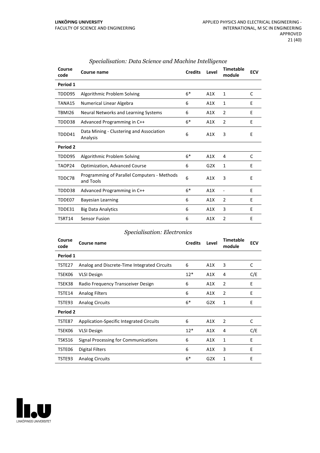| Course<br>code | <b>Course name</b>                                       | <b>Credits</b> | Level | <b>Timetable</b><br>module   | <b>ECV</b> |
|----------------|----------------------------------------------------------|----------------|-------|------------------------------|------------|
| Period 1       |                                                          |                |       |                              |            |
| TDDD95         | Algorithmic Problem Solving                              | $6*$           | A1X   | 1                            | C          |
| TANA15         | Numerical Linear Algebra                                 | 6              | A1X   | 1                            | E          |
| TBMI26         | Neural Networks and Learning Systems                     | 6              | A1X   | $\overline{2}$               | E          |
| TDDD38         | Advanced Programming in C++                              | $6*$           | A1X   | 2                            | E          |
| TDDD41         | Data Mining - Clustering and Association<br>Analysis     | 6              | A1X   | 3                            | E          |
| Period 2       |                                                          |                |       |                              |            |
| TDDD95         | Algorithmic Problem Solving                              | $6*$           | A1X   | 4                            | C          |
| TAOP24         | <b>Optimization, Advanced Course</b>                     | 6              | G2X   | 1                            | E          |
| TDDC78         | Programming of Parallel Computers - Methods<br>and Tools | 6              | A1X   | 3                            | E          |
| TDDD38         | Advanced Programming in C++                              | $6*$           | A1X   | $\qquad \qquad \blacksquare$ | E          |
| TDDE07         | <b>Bayesian Learning</b>                                 | 6              | A1X   | $\overline{2}$               | E          |
| TDDE31         | <b>Big Data Analytics</b>                                | 6              | A1X   | 3                            | E          |
| TSRT14         | <b>Sensor Fusion</b>                                     | 6              | A1X   | $\overline{2}$               | Ε          |

#### *Specialisation: Data Science and Machine Intelligence*

#### *Specialisation: Electronics*

| Course<br>code | Course name                                  | <b>Credits</b> | Level | <b>Timetable</b><br>module | <b>ECV</b> |
|----------------|----------------------------------------------|----------------|-------|----------------------------|------------|
| Period 1       |                                              |                |       |                            |            |
| TSTE27         | Analog and Discrete-Time Integrated Circuits | 6              | A1X   | 3                          | C          |
| TSEK06         | <b>VLSI Design</b>                           | $12*$          | A1X   | 4                          | C/E        |
| TSEK38         | Radio Frequency Transceiver Design           | 6              | A1X   | 2                          | E          |
| TSTE14         | <b>Analog Filters</b>                        | 6              | A1X   | 2                          | E          |
| TSTE93         | <b>Analog Circuits</b>                       | $6*$           | G2X   | 1                          | E          |
| Period 2       |                                              |                |       |                            |            |
| TSTE87         | Application-Specific Integrated Circuits     | 6              | A1X   | 2                          | C          |
| TSEK06         | <b>VLSI Design</b>                           | $12*$          | A1X   | 4                          | C/E        |
| TSKS16         | Signal Processing for Communications         | 6              | A1X   | 1                          | E          |
| TSTE06         | <b>Digital Filters</b>                       | 6              | A1X   | 3                          | E          |
| TSTE93         | <b>Analog Circuits</b>                       | $6*$           | G2X   | 1                          | E          |

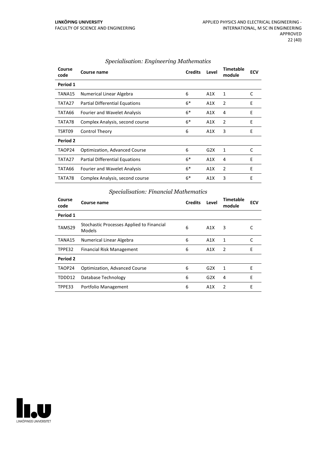| Course<br>code | Course name                          | <b>Credits</b> | Level | <b>Timetable</b><br>module | <b>ECV</b> |
|----------------|--------------------------------------|----------------|-------|----------------------------|------------|
| Period 1       |                                      |                |       |                            |            |
| TANA15         | Numerical Linear Algebra             | 6              | A1X   | 1                          | C          |
| TATA27         | Partial Differential Equations       | $6*$           | A1X   | 2                          | E          |
| TATA66         | <b>Fourier and Wavelet Analysis</b>  | $6*$           | A1X   | 4                          | E          |
| TATA78         | Complex Analysis, second course      | $6*$           | A1X   | 2                          | E          |
| TSRT09         | Control Theory                       | 6              | A1X   | 3                          | E          |
| Period 2       |                                      |                |       |                            |            |
| TAOP24         | <b>Optimization, Advanced Course</b> | 6              | G2X   | 1                          | C          |
| TATA27         | Partial Differential Equations       | $6*$           | A1X   | 4                          | E          |
| TATA66         | <b>Fourier and Wavelet Analysis</b>  | $6*$           | A1X   | $\overline{2}$             | E          |
| TATA78         | Complex Analysis, second course      | $6*$           | A1X   | 3                          | E          |

#### *Specialisation: Engineering Mathematics*

#### *Specialisation: Financial Mathematics*

| Course<br>code | Course name                                         | <b>Credits</b> | Level | <b>Timetable</b><br>module | <b>ECV</b> |
|----------------|-----------------------------------------------------|----------------|-------|----------------------------|------------|
| Period 1       |                                                     |                |       |                            |            |
| TAMS29         | Stochastic Processes Applied to Financial<br>Models | 6              | A1X   | 3                          |            |
| TANA15         | Numerical Linear Algebra                            | 6              | A1X   | 1                          | C          |
| TPPE32         | Financial Risk Management                           | 6              | A1X   | 2                          | E          |
| Period 2       |                                                     |                |       |                            |            |
| TAOP24         | <b>Optimization, Advanced Course</b>                | 6              | G2X   | 1                          | E          |
| TDDD12         | Database Technology                                 | 6              | G2X   | 4                          | E          |
| TPPE33         | Portfolio Management                                | 6              | A1X   | $\mathfrak{p}$             | F          |

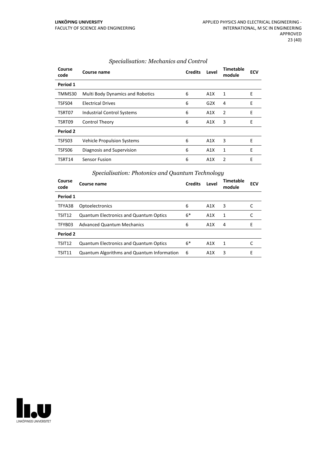| Course<br>code | Course name                             | <b>Credits</b> | Level | <b>Timetable</b><br>module | <b>ECV</b> |
|----------------|-----------------------------------------|----------------|-------|----------------------------|------------|
| Period 1       |                                         |                |       |                            |            |
| TMMS30         | <b>Multi Body Dynamics and Robotics</b> | 6              | A1X   | 1                          | Ε          |
| TSFS04         | <b>Electrical Drives</b>                | 6              | G2X   | 4                          | E          |
| TSRT07         | <b>Industrial Control Systems</b>       | 6              | A1X   | 2                          | Ε          |
| TSRT09         | Control Theory                          | 6              | A1X   | 3                          | E          |
| Period 2       |                                         |                |       |                            |            |
| TSFS03         | <b>Vehicle Propulsion Systems</b>       | 6              | A1X   | 3                          | E          |
| TSFS06         | Diagnosis and Supervision               | 6              | A1X   | 1                          | Е          |
| TSRT14         | Sensor Fusion                           | 6              | A1X   | $\mathcal{P}$              | E          |

#### *Specialisation: Mechanics and Control*

#### *Specialisation: Photonics and Quantum Technology*

| Course<br>code     | Course name                                       | <b>Credits</b> | Level            | Timetable<br>module | <b>ECV</b> |
|--------------------|---------------------------------------------------|----------------|------------------|---------------------|------------|
| Period 1           |                                                   |                |                  |                     |            |
| TFYA38             | Optoelectronics                                   | 6              | A1X              | 3                   |            |
| TSIT12             | <b>Quantum Electronics and Quantum Optics</b>     | $6*$           | A <sub>1</sub> X | 1                   |            |
| TFYB03             | <b>Advanced Quantum Mechanics</b>                 | 6              | A1X              | 4                   | F          |
| Period 2           |                                                   |                |                  |                     |            |
| TSIT <sub>12</sub> | <b>Quantum Electronics and Quantum Optics</b>     | $6*$           | A1X              | 1                   |            |
| TSIT11             | <b>Quantum Algorithms and Quantum Information</b> | 6              | A1X              | 3                   | F          |

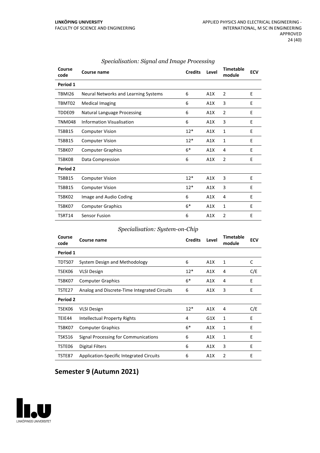| Course<br>code  | Course name                          | <b>Credits</b> | Level | <b>Timetable</b><br>module | <b>ECV</b> |
|-----------------|--------------------------------------|----------------|-------|----------------------------|------------|
| Period 1        |                                      |                |       |                            |            |
| TBMI26          | Neural Networks and Learning Systems | 6              | A1X   | 2                          | E          |
| TBMT02          | <b>Medical Imaging</b>               | 6              | A1X   | 3                          | E          |
| TDDE09          | <b>Natural Language Processing</b>   | 6              | A1X   | 2                          | E          |
| <b>TNM048</b>   | <b>Information Visualisation</b>     | 6              | A1X   | 3                          | E          |
| TSBB15          | <b>Computer Vision</b>               | $12*$          | A1X   | 1                          | E          |
| TSBB15          | <b>Computer Vision</b>               | $12*$          | A1X   | $\mathbf{1}$               | E          |
| TSBK07          | <b>Computer Graphics</b>             | $6*$           | A1X   | 4                          | E          |
| TSBK08          | Data Compression                     | 6              | A1X   | $\overline{2}$             | E          |
| <b>Period 2</b> |                                      |                |       |                            |            |
| TSBB15          | <b>Computer Vision</b>               | $12*$          | A1X   | 3                          | E          |
| TSBB15          | <b>Computer Vision</b>               | $12*$          | A1X   | 3                          | E          |
| TSBK02          | Image and Audio Coding               | 6              | A1X   | 4                          | E          |
| TSBK07          | <b>Computer Graphics</b>             | $6*$           | A1X   | 1                          | E          |
| TSRT14          | <b>Sensor Fusion</b>                 | 6              | A1X   | $\overline{2}$             | E          |

#### *Specialisation: Signal and Image Processing*

#### *Specialisation: System-on-Chip*

| Course<br>code  | Course name                                  | <b>Credits</b> | Level | <b>Timetable</b><br>module | <b>ECV</b> |
|-----------------|----------------------------------------------|----------------|-------|----------------------------|------------|
| Period 1        |                                              |                |       |                            |            |
| TDTS07          | System Design and Methodology                | 6              | A1X   | 1                          | C          |
| TSEK06          | <b>VLSI Design</b>                           | $12*$          | A1X   | 4                          | C/E        |
| TSBK07          | <b>Computer Graphics</b>                     | $6*$           | A1X   | 4                          | E          |
| TSTE27          | Analog and Discrete-Time Integrated Circuits | 6              | A1X   | 3                          | E          |
| <b>Period 2</b> |                                              |                |       |                            |            |
| TSEK06          | <b>VLSI Design</b>                           | $12*$          | A1X   | 4                          | C/E        |
| TEIE44          | Intellectual Property Rights                 | 4              | G1X   | 1                          | E          |
| TSBK07          | <b>Computer Graphics</b>                     | $6*$           | A1X   | 1                          | E          |
| TSKS16          | Signal Processing for Communications         | 6              | A1X   | 1                          | E          |
| TSTE06          | <b>Digital Filters</b>                       | 6              | A1X   | 3                          | E          |
| TSTE87          | Application-Specific Integrated Circuits     | 6              | A1X   | $\overline{2}$             | E          |

# **Semester 9 (Autumn 2021)**

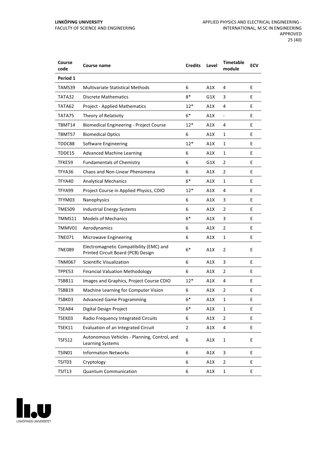| Course<br>code | Course name                                                                   | <b>Credits</b> | Level | <b>Timetable</b><br>module | <b>ECV</b> |
|----------------|-------------------------------------------------------------------------------|----------------|-------|----------------------------|------------|
| Period 1       |                                                                               |                |       |                            |            |
| TAMS39         | <b>Multivariate Statistical Methods</b>                                       | 6              | A1X   | 4                          | E          |
| TATA32         | <b>Discrete Mathematics</b>                                                   | 8*             | G1X   | 3                          | E          |
| TATA62         | <b>Project - Applied Mathematics</b>                                          | $12*$          | A1X   | 4                          | E          |
| TATA75         | Theory of Relativity                                                          | $6*$           | A1X   | -                          | E.         |
| TBMT14         | <b>Biomedical Engineering - Project Course</b>                                | $12*$          | A1X   | 4                          | E.         |
| TBMT57         | <b>Biomedical Optics</b>                                                      | 6              | A1X   | 1                          | E          |
| TDDC88         | Software Engineering                                                          | $12*$          | A1X   | 1                          | E          |
| TDDE15         | <b>Advanced Machine Learning</b>                                              | 6              | A1X   | $\mathbf{1}$               | E          |
| TFKE59         | <b>Fundamentals of Chemistry</b>                                              | 6              | G1X   | 2                          | E          |
| TFYA36         | Chaos and Non-Linear Phenomena                                                | 6              | A1X   | $\overline{2}$             | E          |
| TFYA40         | <b>Analytical Mechanics</b>                                                   | $6*$           | A1X   | 1                          | E          |
| TFYA99         | Project Course in Applied Physics, CDIO                                       | $12*$          | A1X   | 4                          | E          |
| TFYM03         | Nanophysics                                                                   | 6              | A1X   | 3                          | E          |
| TMES09         | <b>Industrial Energy Systems</b>                                              | 6              | A1X   | 2                          | E          |
| TMMS11         | <b>Models of Mechanics</b>                                                    | $6*$           | A1X   | 3                          | E          |
| TMMV01         | Aerodynamics                                                                  | 6              | A1X   | 2                          | E          |
| TNE071         | Microwave Engineering                                                         | 6              | A1X   | 1                          | E          |
| TNE089         | Electromagnetic Compatibility (EMC) and<br>Printed Circuit Board (PCB) Design | $6*$           | A1X   | 2                          | E          |
| TNM067         | Scientific Visualization                                                      | 6              | A1X   | 3                          | E          |
| TPPE53         | <b>Financial Valuation Methodology</b>                                        | 6              | A1X   | 2                          | Е          |
| TSBB11         | Images and Graphics, Project Course CDIO                                      | $12*$          | A1X   | 4                          | E          |
| TSBB19         | Machine Learning for Computer Vision                                          | 6              | A1X   | 2                          | E          |
| TSBK03         | <b>Advanced Game Programming</b>                                              | 6*             | A1X   | 1                          | Ε          |
| TSEA84         | Digital Design Project                                                        | $6*$           | A1X   | 1                          | E          |
| TSEK03         | Radio Frequency Integrated Circuits                                           | 6              | A1X   | 2                          | E          |
| TSEK11         | Evaluation of an Integrated Circuit                                           | 2              | A1X   | 4                          | E          |
| <b>TSFS12</b>  | Autonomous Vehicles - Planning, Control, and<br>Learning Systems              | 6              | A1X   | $\mathbf{1}$               | E          |
| <b>TSIN01</b>  | <b>Information Networks</b>                                                   | 6              | A1X   | 3                          | E          |
| TSIT03         | Cryptology                                                                    | 6              | A1X   | 2                          | E          |
| TSIT13         | <b>Quantum Communication</b>                                                  | 6              | A1X   | $\mathbf 1$                | E          |

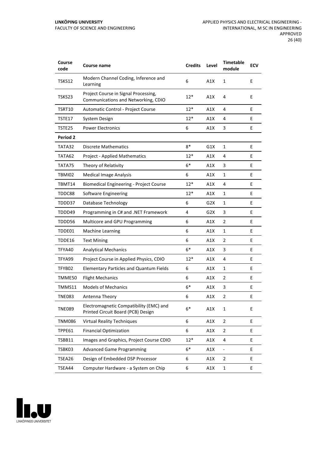| Course<br>code  | Course name                                                                   | <b>Credits</b> | Level | <b>Timetable</b><br>module | <b>ECV</b> |
|-----------------|-------------------------------------------------------------------------------|----------------|-------|----------------------------|------------|
| TSKS12          | Modern Channel Coding, Inference and<br>Learning                              | 6              | A1X   | $\mathbf{1}$               | E          |
| TSKS23          | Project Course in Signal Processing,<br>Communications and Networking, CDIO   | $12*$          | A1X   | 4                          | E          |
| TSRT10          | Automatic Control - Project Course                                            | $12*$          | A1X   | 4                          | E          |
| TSTE17          | System Design                                                                 | $12*$          | A1X   | 4                          | E          |
| TSTE25          | <b>Power Electronics</b>                                                      | 6              | A1X   | 3                          | E          |
| <b>Period 2</b> |                                                                               |                |       |                            |            |
| TATA32          | <b>Discrete Mathematics</b>                                                   | $8*$           | G1X   | $\mathbf{1}$               | E          |
| TATA62          | <b>Project - Applied Mathematics</b>                                          | $12*$          | A1X   | 4                          | E          |
| TATA75          | Theory of Relativity                                                          | $6*$           | A1X   | 3                          | E          |
| TBMI02          | <b>Medical Image Analysis</b>                                                 | 6              | A1X   | $\mathbf{1}$               | E          |
| TBMT14          | <b>Biomedical Engineering - Project Course</b>                                | $12*$          | A1X   | 4                          | E          |
| TDDC88          | Software Engineering                                                          | $12*$          | A1X   | 1                          | E          |
| TDDD37          | Database Technology                                                           | 6              | G2X   | 1                          | E          |
| TDDD49          | Programming in C# and .NET Framework                                          | 4              | G2X   | 3                          | E          |
| TDDD56          | Multicore and GPU Programming                                                 | 6              | A1X   | $\overline{2}$             | E          |
| TDDE01          | <b>Machine Learning</b>                                                       | 6              | A1X   | $\mathbf{1}$               | E          |
| TDDE16          | <b>Text Mining</b>                                                            | 6              | A1X   | $\overline{2}$             | E          |
| TFYA40          | <b>Analytical Mechanics</b>                                                   | $6*$           | A1X   | 3                          | E          |
| TFYA99          | Project Course in Applied Physics, CDIO                                       | $12*$          | A1X   | 4                          | E          |
| TFYB02          | <b>Elementary Particles and Quantum Fields</b>                                | 6              | A1X   | $\mathbf{1}$               | E          |
| TMME50          | <b>Flight Mechanics</b>                                                       | 6              | A1X   | 2                          | E          |
| TMMS11          | <b>Models of Mechanics</b>                                                    | $6*$           | A1X   | 3                          | E          |
| TNE083          | Antenna Theory                                                                | 6              | A1X   | $\overline{2}$             | E          |
| <b>TNE089</b>   | Electromagnetic Compatibility (EMC) and<br>Printed Circuit Board (PCB) Design | $6*$           | A1X   | 1                          | E          |
| <b>TNM086</b>   | <b>Virtual Reality Techniques</b>                                             | 6              | A1X   | $\overline{2}$             | E          |
| TPPE61          | <b>Financial Optimization</b>                                                 | 6              | A1X   | $\overline{2}$             | E.         |
| TSBB11          | Images and Graphics, Project Course CDIO                                      | $12*$          | A1X   | 4                          | E          |
| TSBK03          | <b>Advanced Game Programming</b>                                              | $6*$           | A1X   | $\overline{\phantom{a}}$   | E          |
| TSEA26          | Design of Embedded DSP Processor                                              | 6              | A1X   | $\overline{2}$             | E          |
| TSEA44          | Computer Hardware - a System on Chip                                          | 6              | A1X   | $\mathbf{1}$               | E          |

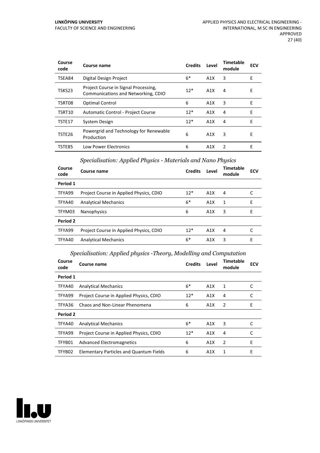| Course<br>code | Course name                                                                 | <b>Credits</b> | Level | Timetable<br>module | <b>ECV</b> |
|----------------|-----------------------------------------------------------------------------|----------------|-------|---------------------|------------|
| TSEA84         | Digital Design Project                                                      | 6*             | A1X   | 3                   | E          |
| TSKS23         | Project Course in Signal Processing,<br>Communications and Networking, CDIO | $12*$          | A1X   | 4                   | E          |
| TSRT08         | Optimal Control                                                             | 6              | A1X   | 3                   | E          |
| TSRT10         | Automatic Control - Project Course                                          | $12*$          | A1X   | 4                   | E          |
| TSTE17         | System Design                                                               | $12*$          | A1X   | 4                   | Е          |
| TSTE26         | Powergrid and Technology for Renewable<br>Production                        | 6              | A1X   | 3                   | Е          |
| TSTE85         | <b>Low Power Electronics</b>                                                | 6              | A1X   | $\mathcal{P}$       | F          |

#### *Specialisation: Applied Physics - Materials and Nano Physics*

| Course<br>code | Course name                             | <b>Credits</b> | Level | Timetable<br>module | <b>ECV</b> |
|----------------|-----------------------------------------|----------------|-------|---------------------|------------|
| Period 1       |                                         |                |       |                     |            |
| TFYA99         | Project Course in Applied Physics, CDIO | $12*$          | A1X   | 4                   |            |
| TFYA40         | <b>Analytical Mechanics</b>             | $6*$           | A1X   | 1                   | E          |
| TFYM03         | Nanophysics                             | 6              | A1X   | 3                   | Е          |
| Period 2       |                                         |                |       |                     |            |
| TFYA99         | Project Course in Applied Physics, CDIO | $12*$          | A1X   | 4                   |            |
| TFYA40         | <b>Analytical Mechanics</b>             | $6*$           | A1X   | 3                   | F          |

#### *Specialisation: Applied physics -Theory, Modelling and Computation*

| Course<br>code  | Course name                                    | <b>Credits</b> | Level | Timetable<br>module | <b>ECV</b> |
|-----------------|------------------------------------------------|----------------|-------|---------------------|------------|
| Period 1        |                                                |                |       |                     |            |
| TFYA40          | <b>Analytical Mechanics</b>                    | $6*$           | A1X   | 1                   | C          |
| TFYA99          | Project Course in Applied Physics, CDIO        | $12*$          | A1X   | 4                   | C          |
| TFYA36          | Chaos and Non-Linear Phenomena                 | 6              | A1X   | 2                   | Ε          |
| <b>Period 2</b> |                                                |                |       |                     |            |
| TFYA40          | <b>Analytical Mechanics</b>                    | $6*$           | A1X   | 3                   | C          |
| TFYA99          | Project Course in Applied Physics, CDIO        | $12*$          | A1X   | 4                   | C          |
| TFYB01          | Advanced Electromagnetics                      | 6              | A1X   | 2                   | E          |
| TFYB02          | <b>Elementary Particles and Quantum Fields</b> | 6              | A1X   | 1                   | E          |

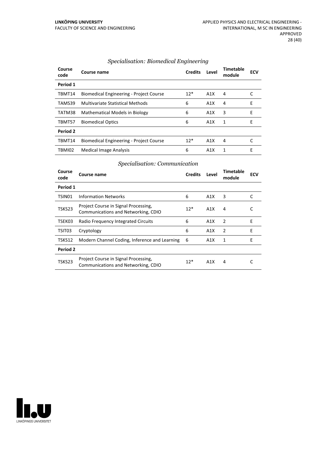| Course<br>code | Course name                                    | <b>Credits</b> | Level | Timetable<br>module | <b>ECV</b> |
|----------------|------------------------------------------------|----------------|-------|---------------------|------------|
| Period 1       |                                                |                |       |                     |            |
| TBMT14         | <b>Biomedical Engineering - Project Course</b> | $12*$          | A1X   | 4                   |            |
| TAMS39         | Multivariate Statistical Methods               | 6              | A1X   | 4                   | E          |
| TATM38         | <b>Mathematical Models in Biology</b>          | 6              | A1X   | 3                   | E          |
| TBMT57         | <b>Biomedical Optics</b>                       | 6              | A1X   | 1                   | F          |
| Period 2       |                                                |                |       |                     |            |
| TBMT14         | <b>Biomedical Engineering - Project Course</b> | $12*$          | A1X   | 4                   |            |
| TBMI02         | Medical Image Analysis                         | 6              | A1X   | 1                   | F          |

#### *Specialisation: Biomedical Engineering*

#### *Specialisation: Communication*

| Course<br>code | Course name                                                                 | <b>Credits</b> | Level | Timetable<br>module | ECV |
|----------------|-----------------------------------------------------------------------------|----------------|-------|---------------------|-----|
| Period 1       |                                                                             |                |       |                     |     |
| TSIN01         | <b>Information Networks</b>                                                 | 6              | A1X   | 3                   | C   |
| TSKS23         | Project Course in Signal Processing,<br>Communications and Networking, CDIO | $12*$          | A1X   | 4                   | C   |
| TSEK03         | Radio Frequency Integrated Circuits                                         | 6              | A1X   | 2                   | Е   |
| TSIT03         | Cryptology                                                                  | 6              | A1X   | 2                   | E   |
| TSKS12         | Modern Channel Coding, Inference and Learning                               | 6              | A1X   | 1                   | Е   |
| Period 2       |                                                                             |                |       |                     |     |
| TSKS23         | Project Course in Signal Processing,<br>Communications and Networking, CDIO | $12*$          | A1X   | 4                   |     |

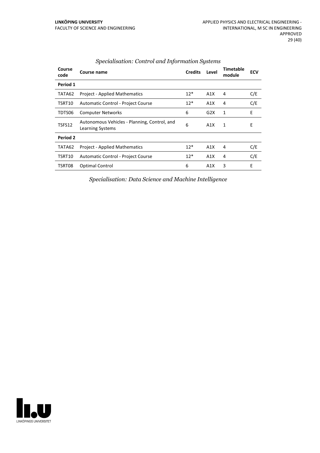| Course<br>code | Course name                                                      | <b>Credits</b> | Level | Timetable<br>module | <b>ECV</b> |
|----------------|------------------------------------------------------------------|----------------|-------|---------------------|------------|
| Period 1       |                                                                  |                |       |                     |            |
| TATA62         | <b>Project - Applied Mathematics</b>                             | $12*$          | A1X   | 4                   | C/E        |
| TSRT10         | Automatic Control - Project Course                               | $12*$          | A1X   | 4                   | C/E        |
| TDTS06         | <b>Computer Networks</b>                                         | 6              | G2X   | 1                   | E          |
| TSFS12         | Autonomous Vehicles - Planning, Control, and<br>Learning Systems | 6              | A1X   | 1                   | Ε          |
| Period 2       |                                                                  |                |       |                     |            |
| TATA62         | <b>Project - Applied Mathematics</b>                             | $12*$          | A1X   | 4                   | C/E        |
| TSRT10         | Automatic Control - Project Course                               | $12*$          | A1X   | 4                   | C/E        |
| TSRT08         | <b>Optimal Control</b>                                           | 6              | A1X   | 3                   | E          |

#### *Specialisation: Control and Information Systems*

*Specialisation: Data Science and Machine Intelligence*

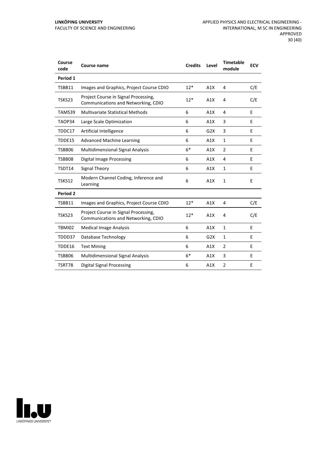| Course<br>code | Course name                                                                 | <b>Credits</b> | Level | <b>Timetable</b><br>module | <b>ECV</b> |
|----------------|-----------------------------------------------------------------------------|----------------|-------|----------------------------|------------|
| Period 1       |                                                                             |                |       |                            |            |
| TSBB11         | Images and Graphics, Project Course CDIO                                    | $12*$          | A1X   | 4                          | C/E        |
| TSKS23         | Project Course in Signal Processing,<br>Communications and Networking, CDIO | $12*$          | A1X   | 4                          | C/E        |
| TAMS39         | <b>Multivariate Statistical Methods</b>                                     | 6              | A1X   | 4                          | E          |
| TAOP34         | Large Scale Optimization                                                    | 6              | A1X   | 3                          | E          |
| TDDC17         | Artificial Intelligence                                                     | 6              | G2X   | 3                          | E          |
| TDDE15         | <b>Advanced Machine Learning</b>                                            | 6              | A1X   | $\mathbf{1}$               | E          |
| TSBB06         | <b>Multidimensional Signal Analysis</b>                                     | $6*$           | A1X   | 2                          | E          |
| TSBB08         | <b>Digital Image Processing</b>                                             | 6              | A1X   | 4                          | E          |
| TSDT14         | Signal Theory                                                               | 6              | A1X   | 1                          | E          |
| TSKS12         | Modern Channel Coding, Inference and<br>Learning                            | 6              | A1X   | $\mathbf{1}$               | E          |
| Period 2       |                                                                             |                |       |                            |            |
| TSBB11         | Images and Graphics, Project Course CDIO                                    | $12*$          | A1X   | 4                          | C/E        |
| TSKS23         | Project Course in Signal Processing,<br>Communications and Networking, CDIO | $12*$          | A1X   | 4                          | C/E        |
| TBMI02         | <b>Medical Image Analysis</b>                                               | 6              | A1X   | 1                          | E          |
| TDDD37         | Database Technology                                                         | 6              | G2X   | $\mathbf{1}$               | E          |
| TDDE16         | <b>Text Mining</b>                                                          | 6              | A1X   | 2                          | E          |
| TSBB06         | <b>Multidimensional Signal Analysis</b>                                     | $6*$           | A1X   | 3                          | Е          |
| TSRT78         | <b>Digital Signal Processing</b>                                            | 6              | A1X   | $\overline{2}$             | E          |

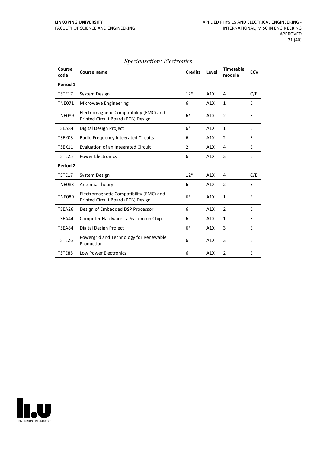#### *Specialisation: Electronics*

| Course<br>code | <b>Course name</b>                                                            | <b>Credits</b> | Level | <b>Timetable</b><br>module | <b>ECV</b> |
|----------------|-------------------------------------------------------------------------------|----------------|-------|----------------------------|------------|
| Period 1       |                                                                               |                |       |                            |            |
| TSTE17         | System Design                                                                 | $12*$          | A1X   | 4                          | C/E        |
| <b>TNE071</b>  | Microwave Engineering                                                         | 6              | A1X   | $\mathbf{1}$               | E          |
| <b>TNE089</b>  | Electromagnetic Compatibility (EMC) and<br>Printed Circuit Board (PCB) Design | $6*$           | A1X   | $\overline{2}$             | E          |
| TSEA84         | Digital Design Project                                                        | $6*$           | A1X   | $\mathbf{1}$               | E          |
| TSEK03         | Radio Frequency Integrated Circuits                                           | 6              | A1X   | $\overline{2}$             | E          |
| TSEK11         | Evaluation of an Integrated Circuit                                           | 2              | A1X   | 4                          | E          |
| TSTE25         | <b>Power Electronics</b>                                                      | 6              | A1X   | 3                          | E          |
| Period 2       |                                                                               |                |       |                            |            |
| TSTE17         | System Design                                                                 | $12*$          | A1X   | 4                          | C/E        |
| <b>TNE083</b>  | Antenna Theory                                                                | 6              | A1X   | $\overline{2}$             | E          |
| <b>TNE089</b>  | Electromagnetic Compatibility (EMC) and<br>Printed Circuit Board (PCB) Design | $6*$           | A1X   | 1                          | E          |
| TSEA26         | Design of Embedded DSP Processor                                              | 6              | A1X   | $\overline{2}$             | E          |
| TSEA44         | Computer Hardware - a System on Chip                                          | 6              | A1X   | 1                          | E          |
| TSEA84         | Digital Design Project                                                        | $6*$           | A1X   | 3                          | E          |
| TSTE26         | Powergrid and Technology for Renewable<br>Production                          | 6              | A1X   | 3                          | E          |
| TSTE85         | <b>Low Power Electronics</b>                                                  | 6              | A1X   | $\overline{2}$             | F          |

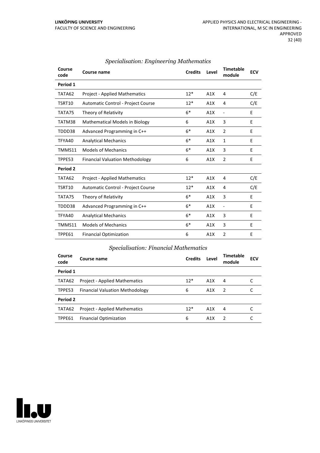| Course<br>code | <b>Course name</b>                     | <b>Credits</b> | Level | <b>Timetable</b><br>module | <b>ECV</b> |
|----------------|----------------------------------------|----------------|-------|----------------------------|------------|
| Period 1       |                                        |                |       |                            |            |
| TATA62         | <b>Project - Applied Mathematics</b>   | $12*$          | A1X   | 4                          | C/E        |
| TSRT10         | Automatic Control - Project Course     | $12*$          | A1X   | 4                          | C/E        |
| TATA75         | Theory of Relativity                   | $6*$           | A1X   | $\frac{1}{2}$              | E          |
| TATM38         | <b>Mathematical Models in Biology</b>  | 6              | A1X   | 3                          | E          |
| TDDD38         | Advanced Programming in C++            | $6*$           | A1X   | $\overline{2}$             | E          |
| TFYA40         | <b>Analytical Mechanics</b>            | $6*$           | A1X   | 1                          | E          |
| TMMS11         | <b>Models of Mechanics</b>             | $6*$           | A1X   | 3                          | E          |
| TPPE53         | <b>Financial Valuation Methodology</b> | 6              | A1X   | $\overline{2}$             | E          |
| Period 2       |                                        |                |       |                            |            |
| TATA62         | <b>Project - Applied Mathematics</b>   | $12*$          | A1X   | 4                          | C/E        |
| TSRT10         | Automatic Control - Project Course     | $12*$          | A1X   | 4                          | C/E        |
| TATA75         | Theory of Relativity                   | $6*$           | A1X   | 3                          | E          |
| TDDD38         | Advanced Programming in C++            | $6*$           | A1X   | $\overline{a}$             | E          |
| TFYA40         | <b>Analytical Mechanics</b>            | $6*$           | A1X   | 3                          | E          |
| TMMS11         | <b>Models of Mechanics</b>             | $6*$           | A1X   | 3                          | E          |
| TPPE61         | <b>Financial Optimization</b>          | 6              | A1X   | 2                          | E          |

#### *Specialisation: Engineering Mathematics*

#### *Specialisation: Financial Mathematics*

| Course<br>code | Course name                            | <b>Credits</b> | Level | Timetable<br>module | <b>ECV</b> |
|----------------|----------------------------------------|----------------|-------|---------------------|------------|
| Period 1       |                                        |                |       |                     |            |
| TATA62         | <b>Project - Applied Mathematics</b>   | $12*$          | A1X   | 4                   |            |
| TPPE53         | <b>Financial Valuation Methodology</b> | 6              | A1X   | $\overline{2}$      |            |
| Period 2       |                                        |                |       |                     |            |
| TATA62         | <b>Project - Applied Mathematics</b>   | $12*$          | A1X   | 4                   |            |
| TPPE61         | <b>Financial Optimization</b>          | 6              | A1X   | $\mathcal{P}$       |            |

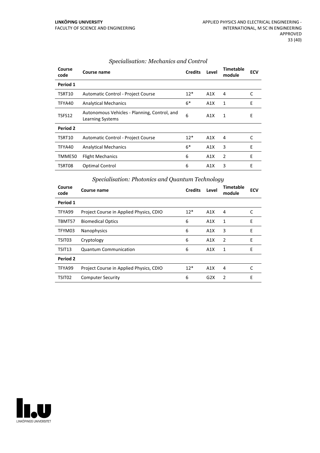| Course<br>code | Course name                                                             | <b>Credits</b> | Level | Timetable<br>module | <b>ECV</b> |
|----------------|-------------------------------------------------------------------------|----------------|-------|---------------------|------------|
| Period 1       |                                                                         |                |       |                     |            |
| TSRT10         | Automatic Control - Project Course                                      | $12*$          | A1X   | 4                   | C          |
| TFYA40         | <b>Analytical Mechanics</b>                                             | $6*$           | A1X   | 1                   | E          |
| TSFS12         | Autonomous Vehicles - Planning, Control, and<br><b>Learning Systems</b> | 6              | A1X   | 1                   | E          |
| Period 2       |                                                                         |                |       |                     |            |
| TSRT10         | Automatic Control - Project Course                                      | $12*$          | A1X   | 4                   | C          |
| TFYA40         | <b>Analytical Mechanics</b>                                             | $6*$           | A1X   | 3                   | Е          |
| TMME50         | <b>Flight Mechanics</b>                                                 | 6              | A1X   | $\overline{2}$      | E          |
| TSRT08         | Optimal Control                                                         | 6              | A1X   | 3                   | E          |

#### *Specialisation: Mechanics and Control*

# *Specialisation: Photonics and Quantum Technology*

| Course<br>code | Course name                             | <b>Credits</b> | Level            | Timetable<br>module | <b>ECV</b> |
|----------------|-----------------------------------------|----------------|------------------|---------------------|------------|
| Period 1       |                                         |                |                  |                     |            |
| TFYA99         | Project Course in Applied Physics, CDIO | $12*$          | A1X              | 4                   | C          |
| TBMT57         | <b>Biomedical Optics</b>                | 6              | A1X              | 1                   | E          |
| TFYM03         | Nanophysics                             | 6              | A1X              | 3                   | E          |
| TSIT03         | Cryptology                              | 6              | A <sub>1</sub> X | 2                   | E          |
| TSIT13         | <b>Quantum Communication</b>            | 6              | A1X              | 1                   | E          |
| Period 2       |                                         |                |                  |                     |            |
| TFYA99         | Project Course in Applied Physics, CDIO | $12*$          | A1X              | 4                   | C          |
| TSIT02         | <b>Computer Security</b>                | 6              | G2X              | 2                   | E          |

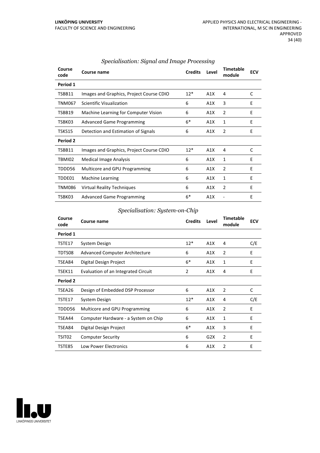| Course<br>code | Course name                              | <b>Credits</b> | Level | <b>Timetable</b><br>module | <b>ECV</b> |
|----------------|------------------------------------------|----------------|-------|----------------------------|------------|
| Period 1       |                                          |                |       |                            |            |
| TSBB11         | Images and Graphics, Project Course CDIO | $12*$          | A1X   | 4                          | C          |
| <b>TNM067</b>  | Scientific Visualization                 | 6              | A1X   | 3                          | E          |
| TSBB19         | Machine Learning for Computer Vision     | 6              | A1X   | 2                          | E          |
| TSBK03         | <b>Advanced Game Programming</b>         | $6*$           | A1X   | 1                          | E          |
| TSKS15         | Detection and Estimation of Signals      | 6              | A1X   | 2                          | E          |
| Period 2       |                                          |                |       |                            |            |
| TSBB11         | Images and Graphics, Project Course CDIO | $12*$          | A1X   | 4                          | C          |
| TBMI02         | Medical Image Analysis                   | 6              | A1X   | 1                          | E          |
| TDDD56         | Multicore and GPU Programming            | 6              | A1X   | 2                          | E          |
| TDDE01         | <b>Machine Learning</b>                  | 6              | A1X   | 1                          | E          |
| <b>TNM086</b>  | <b>Virtual Reality Techniques</b>        | 6              | A1X   | 2                          | E          |
| TSBK03         | <b>Advanced Game Programming</b>         | $6*$           | A1X   |                            | E          |

#### *Specialisation: Signal and Image Processing*

#### *Specialisation: System-on-Chip*

| Course<br>code | Course name                          | <b>Credits</b> | Level | <b>Timetable</b><br>module | <b>ECV</b> |
|----------------|--------------------------------------|----------------|-------|----------------------------|------------|
| Period 1       |                                      |                |       |                            |            |
| TSTE17         | System Design                        | $12*$          | A1X   | 4                          | C/E        |
| TDTS08         | Advanced Computer Architecture       | 6              | A1X   | $\overline{2}$             | E          |
| TSEA84         | Digital Design Project               | $6*$           | A1X   | 1                          | E          |
| TSEK11         | Evaluation of an Integrated Circuit  | 2              | A1X   | 4                          | E          |
| Period 2       |                                      |                |       |                            |            |
| TSEA26         | Design of Embedded DSP Processor     | 6              | A1X   | $\overline{2}$             | C          |
| TSTE17         | System Design                        | $12*$          | A1X   | 4                          | C/E        |
| TDDD56         | Multicore and GPU Programming        | 6              | A1X   | $\overline{2}$             | E          |
| TSEA44         | Computer Hardware - a System on Chip | 6              | A1X   | 1                          | E          |
| TSEA84         | Digital Design Project               | $6*$           | A1X   | 3                          | E          |
| TSIT02         | <b>Computer Security</b>             | 6              | G2X   | 2                          | Е          |
| TSTE85         | Low Power Electronics                | 6              | A1X   | $\mathfrak{p}$             | E          |

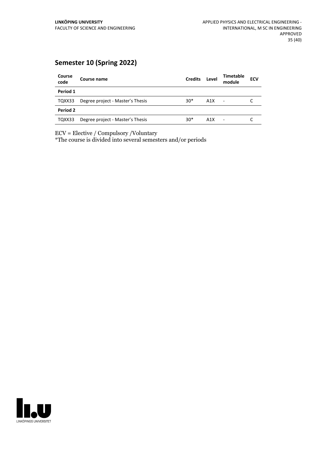# **Semester 10 (Spring 2022)**

| Course<br>code | Course name                      | <b>Credits</b> | Level | <b>Timetable</b><br>module | <b>ECV</b> |
|----------------|----------------------------------|----------------|-------|----------------------------|------------|
| Period 1       |                                  |                |       |                            |            |
| TQXX33         | Degree project - Master's Thesis | $30*$          | A1X   | $\overline{\phantom{a}}$   |            |
| Period 2       |                                  |                |       |                            |            |
| TQXX33         | Degree project - Master's Thesis | $30*$          | A1X   | ٠                          |            |

ECV = Elective / Compulsory /Voluntary

\*The course is divided into several semesters and/or periods

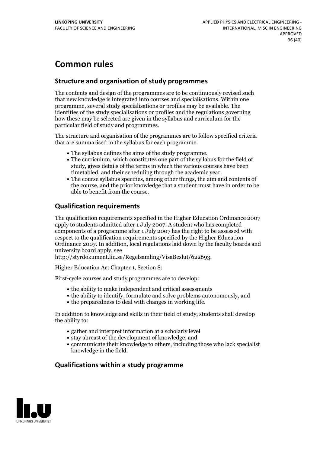# **Common rules**

#### **Structure and organisation of study programmes**

The contents and design of the programmes are to be continuously revised such that new knowledge is integrated into courses and specialisations. Within one programme, several study specialisations or profiles may be available. The identities of the study specialisations or profiles and the regulations governing how these may be selected are given in the syllabus and curriculum for the particular field of study and programmes.

The structure and organisation of the programmes are to follow specified criteria that are summarised in the syllabus for each programme.

- 
- The syllabus defines the aims of the study programme.<br>• The curriculum, which constitutes one part of the syllabus for the field of study, gives details of the terms in which the various courses have been
- timetabled, and their scheduling through the academic year.<br>• The course syllabus specifies, among other things, the aim and contents of the course, and the prior knowledge that a student must have in order to be able to benefit from the course.

#### **Qualification requirements**

The qualification requirements specified in the Higher Education Ordinance 2007 apply to students admitted after 1 July 2007. A student who has completed components of a programme after 1 July 2007 has the right to be assessed with respect to the qualification requirements specified by the Higher Education Ordinance 2007. In addition, local regulations laid down by the faculty boards and university board apply, see

http://styrdokument.liu.se/Regelsamling/VisaBeslut/622693.

Higher Education Act Chapter 1, Section 8:

First-cycle courses and study programmes are to develop:

- the ability to make independent and critical assessments
- the ability to identify, formulate and solve problems autonomously, and
- the preparedness to deal with changes in working life.

In addition to knowledge and skills in their field of study, students shall develop the ability to:

- gather and interpret information at a scholarly level
- stay abreast of the development of knowledge, and
- communicate their knowledge to others, including those who lack specialist knowledge in the field.

#### **Qualifications within a study programme**

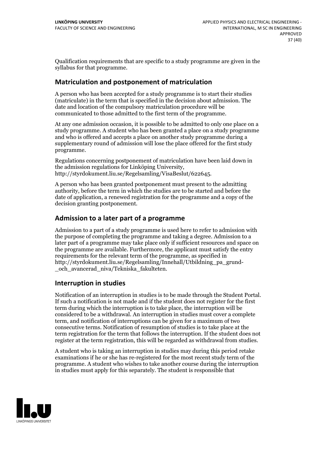Qualification requirements that are specific to a study programme are given in the syllabus for that programme.

#### **Matriculation and postponement of matriculation**

A person who has been accepted for a study programme is to start their studies (matriculate) in the term that is specified in the decision about admission. The date and location of the compulsory matriculation procedure will be communicated to those admitted to the first term of the programme.

At any one admission occasion, it is possible to be admitted to only one place on a study programme. A student who has been granted a place on a study programme and who is offered and accepts a place on another study programme during a supplementary round of admission will lose the place offered for the first study programme.

Regulations concerning postponement of matriculation have been laid down in the admission regulations for Linköping University, http://styrdokument.liu.se/Regelsamling/VisaBeslut/622645.

A person who has been granted postponement must present to the admitting authority, before the term in which the studies are to be started and before the date of application, a renewed registration for the programme and a copy of the decision granting postponement.

#### **Admission to a later part of a programme**

Admission to a part of a study programme is used here to refer to admission with the purpose of completing the programme and taking a degree. Admission to a later part of a programme may take place only if sufficient resources and space on the programme are available. Furthermore, the applicant must satisfy the entry requirements for the relevant term of the programme, as specified in http://styrdokument.liu.se/Regelsamling/Innehall/Utbildning\_pa\_grund- \_och\_avancerad\_niva/Tekniska\_fakulteten.

#### **Interruption in studies**

Notification of an interruption in studies is to be made through the Student Portal. If such <sup>a</sup> notification is not made and if the student does not register for the first term during which the interruption is to take place, the interruption will be considered to be a withdrawal. An interruption in studies must cover a complete term, and notification of interruptions can be given for a maximum of two consecutive terms. Notification of resumption of studies is to take place at the term registration for the term that follows the interruption. If the student does not register at the term registration, this will be regarded as withdrawal from studies.

A student who is taking an interruption in studies may during this period retake examinations if he or she has re-registered for the most recent study term of the programme. A student who wishes to take another course during the interruption in studies must apply for this separately. The student is responsible that

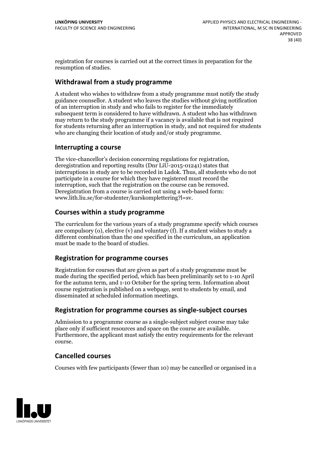registration for courses is carried outat the correct times in preparation for the resumption of studies.

#### **Withdrawal from a study programme**

A student who wishes to withdraw from a study programme must notify the study guidance counsellor. A student who leaves the studies without giving notification of an interruption in study and who fails to register for the immediately subsequent term is considered to have withdrawn. A student who has withdrawn may return to the study programme if a vacancy is available that is not required for students returning after an interruption in study, and notrequired for students who are changing their location of study and/or study programme.

#### **Interrupting a course**

The vice-chancellor's decision concerning regulations for registration, deregistration and reporting results (Dnr LiU-2015-01241) states that interruptions in study are to be recorded in Ladok. Thus, all students who do not participate in a course for which they have registered must record the interruption, such that the registration on the course can be removed. Deregistration from <sup>a</sup> course is carried outusing <sup>a</sup> web-based form: www.lith.liu.se/for-studenter/kurskomplettering?l=sv.

#### **Courses within a study programme**

The curriculum for the various years of a study programme specify which courses are compulsory (o), elective (v) and voluntary (f). If a student wishes to study a different combination than the one specified in the curriculum, an application must be made to the board of studies.

#### **Registration for programme courses**

Registration for courses that are given as part of a study programme must be made during the specified period, which has been preliminarily set to 1-10 April for the autumn term, and 1-10 October for the spring term. Information about course registration is published on a webpage, sent to students by email, and disseminated at scheduled information meetings.

#### **Registration for programme courses as single-subject courses**

Admission to a programme course as a single-subject subject course may take place only if sufficient resources and space on the course are available. Furthermore, the applicant must satisfy the entry requirements for the relevant course.

#### **Cancelled courses**

Courses with few participants (fewer than 10) may be cancelled or organised in a

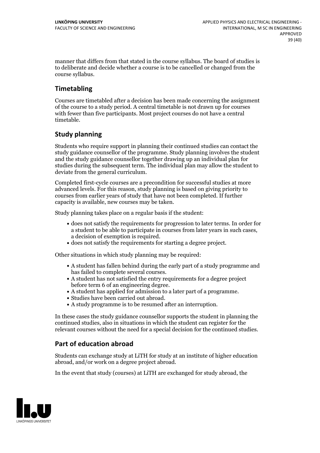manner that differs from that stated in the course syllabus. The board of studies is to deliberate and decide whether a course is to be cancelled orchanged from the course syllabus.

### **Timetabling**

Courses are timetabled after a decision has been made concerning the assignment of the course to a study period. A central timetable is not drawn up for courses with fewer than five participants. Most project courses do not have a central timetable.

### **Study planning**

Students who require support in planning their continued studies can contact the study guidance counsellor of the programme. Study planning involves the student and the study guidance counsellor together drawing up an individual plan for studies during the subsequent term. The individual plan may allow the student to deviate from the general curriculum.

Completed first-cycle courses are a precondition for successful studies at more advanced levels. For this reason, study planning is based on giving priority to courses from earlier years of study that have not been completed. If further capacity is available, new courses may be taken.

Study planning takes place on a regular basis if the student:

- does not satisfy the requirements for progression to later terms. In order for a student to be able to participate in courses from later years in such cases, a decision of exemption is required.<br>
• does not satisfy the requirements for starting a degree project.
- 

Other situations in which study planning may be required:

- A student has fallen behind during the early part of a study programme and
- has failed to complete several courses.<br>• A student has not satisfied the entry requirements for a degree project
- before term 6 of an engineering degree.<br>
 A student has applied for admission to a later part of a programme.<br>
 Studies have been carried out abroad.<br>
 A study programme is to be resumed after an interruption.
- 
- 

In these cases the study guidance counsellor supports the student in planning the continued studies, also in situations in which the student can register for the relevant courses without the need for a special decision for the continued studies.

### **Part of education abroad**

Students can exchange study at LiTH for study at an institute of higher education abroad, and/or work on a degree project abroad.

In the event that study (courses) at LiTH are exchanged for study abroad, the